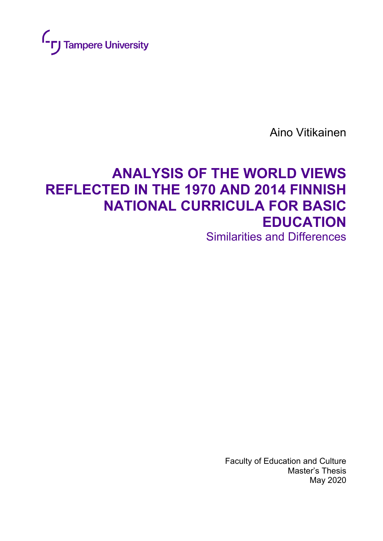

Aino Vitikainen

# **ANALYSIS OF THE WORLD VIEWS REFLECTED IN THE 1970 AND 2014 FINNISH NATIONAL CURRICULA FOR BASIC EDUCATION** Similarities and Differences

Faculty of Education and Culture Master's Thesis May 2020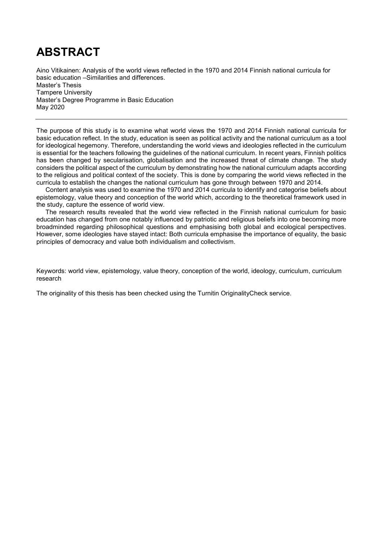# **ABSTRACT**

Aino Vitikainen: Analysis of the world views reflected in the 1970 and 2014 Finnish national curricula for basic education –Similarities and differences. Master's Thesis Tampere University Master's Degree Programme in Basic Education May 2020

The purpose of this study is to examine what world views the 1970 and 2014 Finnish national curricula for basic education reflect. In the study, education is seen as political activity and the national curriculum as a tool for ideological hegemony. Therefore, understanding the world views and ideologies reflected in the curriculum is essential for the teachers following the guidelines of the national curriculum. In recent years, Finnish politics has been changed by secularisation, globalisation and the increased threat of climate change. The study considers the political aspect of the curriculum by demonstrating how the national curriculum adapts according to the religious and political context of the society. This is done by comparing the world views reflected in the curricula to establish the changes the national curriculum has gone through between 1970 and 2014.

Content analysis was used to examine the 1970 and 2014 curricula to identify and categorise beliefs about epistemology, value theory and conception of the world which, according to the theoretical framework used in the study, capture the essence of world view.

The research results revealed that the world view reflected in the Finnish national curriculum for basic education has changed from one notably influenced by patriotic and religious beliefs into one becoming more broadminded regarding philosophical questions and emphasising both global and ecological perspectives. However, some ideologies have stayed intact: Both curricula emphasise the importance of equality, the basic principles of democracy and value both individualism and collectivism.

Keywords: world view, epistemology, value theory, conception of the world, ideology, curriculum, curriculum research

The originality of this thesis has been checked using the Turnitin OriginalityCheck service.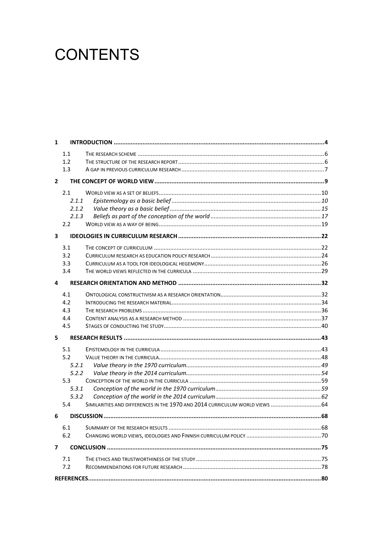# **CONTENTS**

| 1                       |       |                                                                              |     |  |
|-------------------------|-------|------------------------------------------------------------------------------|-----|--|
|                         | 1.1   |                                                                              |     |  |
|                         | 1.2   |                                                                              |     |  |
|                         | 1.3   |                                                                              |     |  |
| $\overline{2}$          |       |                                                                              |     |  |
|                         |       |                                                                              |     |  |
|                         | 2.1   |                                                                              |     |  |
|                         | 2.1.1 |                                                                              |     |  |
|                         | 2.1.2 |                                                                              |     |  |
|                         | 2.1.3 |                                                                              |     |  |
|                         | 2.2   |                                                                              |     |  |
| $\overline{\mathbf{3}}$ |       |                                                                              |     |  |
|                         | 3.1   |                                                                              |     |  |
|                         | 3.2   |                                                                              |     |  |
|                         | 3.3   |                                                                              |     |  |
|                         | 3.4   |                                                                              |     |  |
| 4                       |       |                                                                              |     |  |
|                         | 4.1   |                                                                              |     |  |
|                         | 4.2   |                                                                              |     |  |
|                         | 4.3   |                                                                              |     |  |
|                         | 4.4   |                                                                              |     |  |
|                         | 4.5   |                                                                              |     |  |
| 5                       |       |                                                                              |     |  |
|                         | 5.1   |                                                                              |     |  |
|                         | 5.2   |                                                                              |     |  |
|                         | 5.2.1 |                                                                              |     |  |
|                         | 5.2.2 |                                                                              |     |  |
|                         | 5.3   |                                                                              |     |  |
|                         | 5.3.1 |                                                                              |     |  |
|                         | 5.3.2 |                                                                              |     |  |
|                         | 5.4   | SIMILARITIES AND DIFFERENCES IN THE 1970 AND 2014 CURRICULUM WORLD VIEWS  64 |     |  |
| 6                       |       |                                                                              |     |  |
|                         | 6.1   | SUMMARY OF THE RESEARCH RESULTS.                                             | .68 |  |
|                         | 6.2   |                                                                              |     |  |
| 7                       |       |                                                                              |     |  |
|                         |       |                                                                              |     |  |
|                         | 7.1   |                                                                              |     |  |
|                         | 7.2   |                                                                              |     |  |
|                         |       |                                                                              |     |  |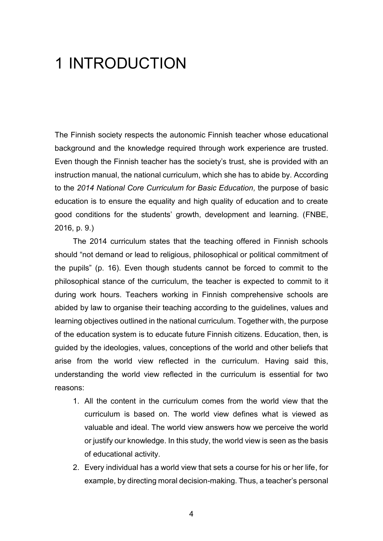# <span id="page-3-0"></span>1 INTRODUCTION

The Finnish society respects the autonomic Finnish teacher whose educational background and the knowledge required through work experience are trusted. Even though the Finnish teacher has the society's trust, she is provided with an instruction manual, the national curriculum, which she has to abide by. According to the *2014 National Core Curriculum for Basic Education,* the purpose of basic education is to ensure the equality and high quality of education and to create good conditions for the students' growth, development and learning. (FNBE, 2016, p. 9.)

The 2014 curriculum states that the teaching offered in Finnish schools should "not demand or lead to religious, philosophical or political commitment of the pupils" (p. 16). Even though students cannot be forced to commit to the philosophical stance of the curriculum, the teacher is expected to commit to it during work hours. Teachers working in Finnish comprehensive schools are abided by law to organise their teaching according to the guidelines, values and learning objectives outlined in the national curriculum. Together with, the purpose of the education system is to educate future Finnish citizens. Education, then, is guided by the ideologies, values, conceptions of the world and other beliefs that arise from the world view reflected in the curriculum. Having said this, understanding the world view reflected in the curriculum is essential for two reasons:

- 1. All the content in the curriculum comes from the world view that the curriculum is based on. The world view defines what is viewed as valuable and ideal. The world view answers how we perceive the world or justify our knowledge. In this study, the world view is seen as the basis of educational activity.
- 2. Every individual has a world view that sets a course for his or her life, for example, by directing moral decision-making. Thus, a teacher's personal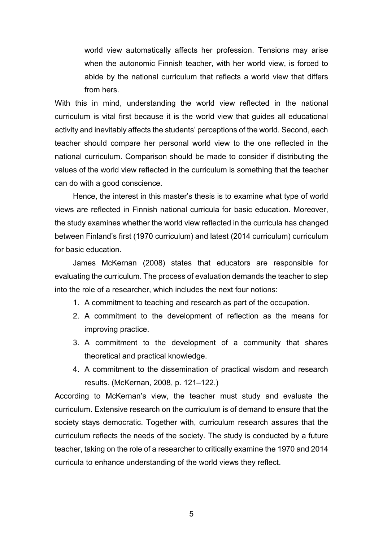world view automatically affects her profession. Tensions may arise when the autonomic Finnish teacher, with her world view, is forced to abide by the national curriculum that reflects a world view that differs from hers.

With this in mind, understanding the world view reflected in the national curriculum is vital first because it is the world view that guides all educational activity and inevitably affects the students' perceptions of the world. Second, each teacher should compare her personal world view to the one reflected in the national curriculum. Comparison should be made to consider if distributing the values of the world view reflected in the curriculum is something that the teacher can do with a good conscience.

Hence, the interest in this master's thesis is to examine what type of world views are reflected in Finnish national curricula for basic education. Moreover, the study examines whether the world view reflected in the curricula has changed between Finland's first (1970 curriculum) and latest (2014 curriculum) curriculum for basic education.

James McKernan (2008) states that educators are responsible for evaluating the curriculum. The process of evaluation demands the teacher to step into the role of a researcher, which includes the next four notions:

- 1. A commitment to teaching and research as part of the occupation.
- 2. A commitment to the development of reflection as the means for improving practice.
- 3. A commitment to the development of a community that shares theoretical and practical knowledge.
- 4. A commitment to the dissemination of practical wisdom and research results. (McKernan, 2008, p. 121–122.)

According to McKernan's view, the teacher must study and evaluate the curriculum. Extensive research on the curriculum is of demand to ensure that the society stays democratic. Together with, curriculum research assures that the curriculum reflects the needs of the society. The study is conducted by a future teacher, taking on the role of a researcher to critically examine the 1970 and 2014 curricula to enhance understanding of the world views they reflect.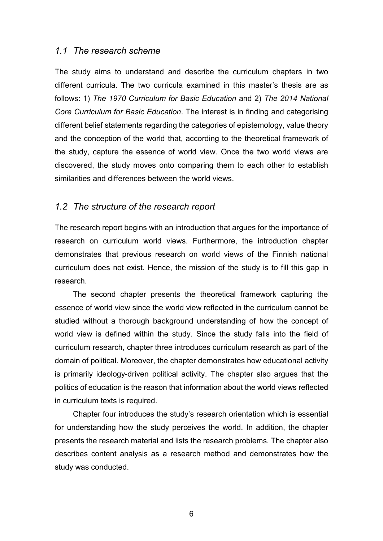#### <span id="page-5-0"></span>*1.1 The research scheme*

The study aims to understand and describe the curriculum chapters in two different curricula. The two curricula examined in this master's thesis are as follows: 1) *The 1970 Curriculum for Basic Education* and 2) *The 2014 National Core Curriculum for Basic Education*. The interest is in finding and categorising different belief statements regarding the categories of epistemology, value theory and the conception of the world that, according to the theoretical framework of the study, capture the essence of world view. Once the two world views are discovered, the study moves onto comparing them to each other to establish similarities and differences between the world views.

### <span id="page-5-1"></span>*1.2 The structure of the research report*

The research report begins with an introduction that argues for the importance of research on curriculum world views. Furthermore, the introduction chapter demonstrates that previous research on world views of the Finnish national curriculum does not exist. Hence, the mission of the study is to fill this gap in research.

The second chapter presents the theoretical framework capturing the essence of world view since the world view reflected in the curriculum cannot be studied without a thorough background understanding of how the concept of world view is defined within the study. Since the study falls into the field of curriculum research, chapter three introduces curriculum research as part of the domain of political. Moreover, the chapter demonstrates how educational activity is primarily ideology-driven political activity. The chapter also argues that the politics of education is the reason that information about the world views reflected in curriculum texts is required.

Chapter four introduces the study's research orientation which is essential for understanding how the study perceives the world. In addition, the chapter presents the research material and lists the research problems. The chapter also describes content analysis as a research method and demonstrates how the study was conducted.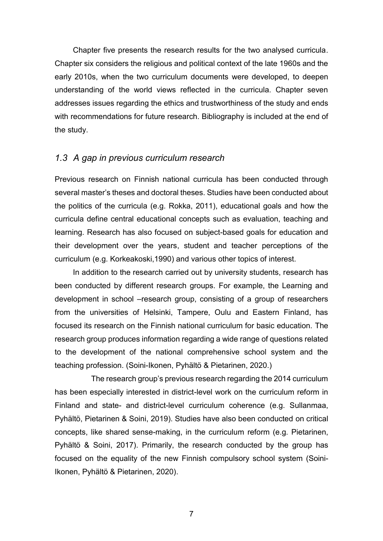Chapter five presents the research results for the two analysed curricula. Chapter six considers the religious and political context of the late 1960s and the early 2010s, when the two curriculum documents were developed, to deepen understanding of the world views reflected in the curricula. Chapter seven addresses issues regarding the ethics and trustworthiness of the study and ends with recommendations for future research. Bibliography is included at the end of the study.

## <span id="page-6-0"></span>*1.3 A gap in previous curriculum research*

Previous research on Finnish national curricula has been conducted through several master's theses and doctoral theses. Studies have been conducted about the politics of the curricula (e.g. Rokka, 2011), educational goals and how the curricula define central educational concepts such as evaluation, teaching and learning. Research has also focused on subject-based goals for education and their development over the years, student and teacher perceptions of the curriculum (e.g. Korkeakoski,1990) and various other topics of interest.

In addition to the research carried out by university students, research has been conducted by different research groups. For example, the Learning and development in school –research group, consisting of a group of researchers from the universities of Helsinki, Tampere, Oulu and Eastern Finland, has focused its research on the Finnish national curriculum for basic education. The research group produces information regarding a wide range of questions related to the development of the national comprehensive school system and the teaching profession. (Soini-Ikonen, Pyhältö & Pietarinen, 2020.)

The research group's previous research regarding the 2014 curriculum has been especially interested in district-level work on the curriculum reform in Finland and state- and district-level curriculum coherence (e.g. Sullanmaa, Pyhältö, Pietarinen & Soini, 2019). Studies have also been conducted on critical concepts, like shared sense-making, in the curriculum reform (e.g. Pietarinen, Pyhältö & Soini, 2017). Primarily, the research conducted by the group has focused on the equality of the new Finnish compulsory school system (Soini-Ikonen, Pyhältö & Pietarinen, 2020).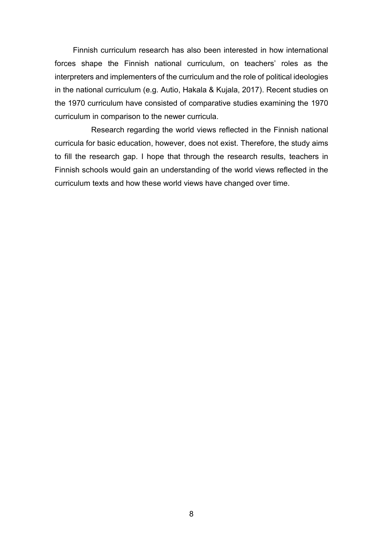Finnish curriculum research has also been interested in how international forces shape the Finnish national curriculum, on teachers' roles as the interpreters and implementers of the curriculum and the role of political ideologies in the national curriculum (e.g. Autio, Hakala & Kujala, 2017). Recent studies on the 1970 curriculum have consisted of comparative studies examining the 1970 curriculum in comparison to the newer curricula.

Research regarding the world views reflected in the Finnish national curricula for basic education, however, does not exist. Therefore, the study aims to fill the research gap. I hope that through the research results, teachers in Finnish schools would gain an understanding of the world views reflected in the curriculum texts and how these world views have changed over time.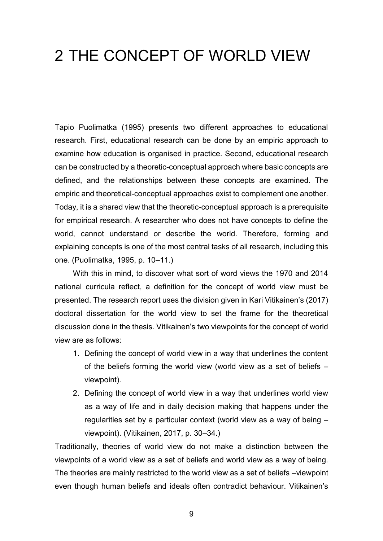# <span id="page-8-0"></span>2 THE CONCEPT OF WORLD VIEW

Tapio Puolimatka (1995) presents two different approaches to educational research. First, educational research can be done by an empiric approach to examine how education is organised in practice. Second, educational research can be constructed by a theoretic-conceptual approach where basic concepts are defined, and the relationships between these concepts are examined. The empiric and theoretical-conceptual approaches exist to complement one another. Today, it is a shared view that the theoretic-conceptual approach is a prerequisite for empirical research. A researcher who does not have concepts to define the world, cannot understand or describe the world. Therefore, forming and explaining concepts is one of the most central tasks of all research, including this one. (Puolimatka, 1995, p. 10–11.)

With this in mind, to discover what sort of word views the 1970 and 2014 national curricula reflect, a definition for the concept of world view must be presented. The research report uses the division given in Kari Vitikainen's (2017) doctoral dissertation for the world view to set the frame for the theoretical discussion done in the thesis. Vitikainen's two viewpoints for the concept of world view are as follows:

- 1. Defining the concept of world view in a way that underlines the content of the beliefs forming the world view (world view as a set of beliefs – viewpoint).
- 2. Defining the concept of world view in a way that underlines world view as a way of life and in daily decision making that happens under the regularities set by a particular context (world view as a way of being – viewpoint). (Vitikainen, 2017, p. 30–34.)

Traditionally, theories of world view do not make a distinction between the viewpoints of a world view as a set of beliefs and world view as a way of being. The theories are mainly restricted to the world view as a set of beliefs –viewpoint even though human beliefs and ideals often contradict behaviour. Vitikainen's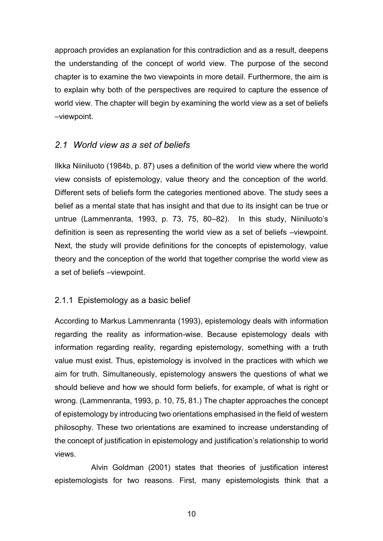approach provides an explanation for this contradiction and as a result, deepens the understanding of the concept of world view. The purpose of the second chapter is to examine the two viewpoints in more detail. Furthermore, the aim is to explain why both of the perspectives are required to capture the essence of world view. The chapter will begin by examining the world view as a set of beliefs –viewpoint.

# <span id="page-9-0"></span>*2.1 World view as a set of beliefs*

Ilkka Niiniluoto (1984b, p. 87) uses a definition of the world view where the world view consists of epistemology, value theory and the conception of the world. Different sets of beliefs form the categories mentioned above. The study sees a belief as a mental state that has insight and that due to its insight can be true or untrue (Lammenranta, 1993, p. 73, 75, 80–82). In this study, Niiniluoto's definition is seen as representing the world view as a set of beliefs –viewpoint. Next, the study will provide definitions for the concepts of epistemology, value theory and the conception of the world that together comprise the world view as a set of beliefs –viewpoint.

## <span id="page-9-1"></span>2.1.1 Epistemology as a basic belief

According to Markus Lammenranta (1993), epistemology deals with information regarding the reality as information-wise. Because epistemology deals with information regarding reality, regarding epistemology, something with a truth value must exist. Thus, epistemology is involved in the practices with which we aim for truth. Simultaneously, epistemology answers the questions of what we should believe and how we should form beliefs, for example, of what is right or wrong. (Lammenranta, 1993, p. 10, 75, 81.) The chapter approaches the concept of epistemology by introducing two orientations emphasised in the field of western philosophy. These two orientations are examined to increase understanding of the concept of justification in epistemology and justification's relationship to world views.

Alvin Goldman (2001) states that theories of justification interest epistemologists for two reasons. First, many epistemologists think that a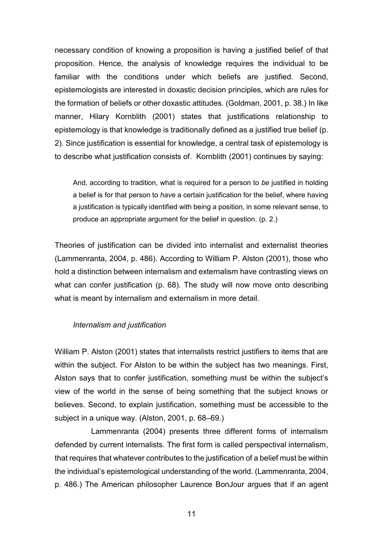necessary condition of knowing a proposition is having a justified belief of that proposition. Hence, the analysis of knowledge requires the individual to be familiar with the conditions under which beliefs are justified. Second, epistemologists are interested in doxastic decision principles, which are rules for the formation of beliefs or other doxastic attitudes. (Goldman, 2001, p. 38.) In like manner, Hilary Kornblith (2001) states that justifications relationship to epistemology is that knowledge is traditionally defined as a justified true belief (p. 2). Since justification is essential for knowledge, a central task of epistemology is to describe what justification consists of. Kornblith (2001) continues by saying:

And, according to tradition, what is required for a person to *be* justified in holding a belief is for that person to *have* a certain justification for the belief, where having a justification is typically identified with being a position, in some relevant sense, to produce an appropriate argument for the belief in question. (p. 2.)

Theories of justification can be divided into internalist and externalist theories (Lammenranta, 2004, p. 486). According to William P. Alston (2001), those who hold a distinction between internalism and externalism have contrasting views on what can confer justification (p. 68). The study will now move onto describing what is meant by internalism and externalism in more detail.

#### *Internalism and justification*

William P. Alston (2001) states that internalists restrict justifiers to items that are within the subject. For Alston to be within the subject has two meanings. First, Alston says that to confer justification, something must be within the subject's view of the world in the sense of being something that the subject knows or believes. Second, to explain justification, something must be accessible to the subject in a unique way. (Alston, 2001, p. 68–69.)

Lammenranta (2004) presents three different forms of internalism defended by current internalists. The first form is called perspectival internalism, that requires that whatever contributes to the justification of a belief must be within the individual's epistemological understanding of the world. (Lammenranta, 2004, p. 486.) The American philosopher Laurence BonJour argues that if an agent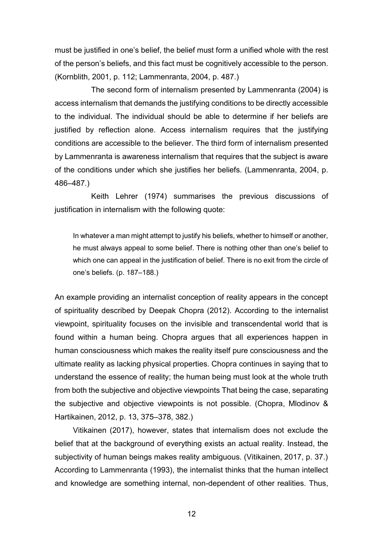must be justified in one's belief, the belief must form a unified whole with the rest of the person's beliefs, and this fact must be cognitively accessible to the person. (Kornblith, 2001, p. 112; Lammenranta, 2004, p. 487.)

The second form of internalism presented by Lammenranta (2004) is access internalism that demands the justifying conditions to be directly accessible to the individual. The individual should be able to determine if her beliefs are justified by reflection alone. Access internalism requires that the justifying conditions are accessible to the believer. The third form of internalism presented by Lammenranta is awareness internalism that requires that the subject is aware of the conditions under which she justifies her beliefs. (Lammenranta, 2004, p. 486–487.)

Keith Lehrer (1974) summarises the previous discussions of justification in internalism with the following quote:

In whatever a man might attempt to justify his beliefs, whether to himself or another, he must always appeal to some belief. There is nothing other than one's belief to which one can appeal in the justification of belief. There is no exit from the circle of one's beliefs. (p. 187–188.)

An example providing an internalist conception of reality appears in the concept of spirituality described by Deepak Chopra (2012). According to the internalist viewpoint, spirituality focuses on the invisible and transcendental world that is found within a human being. Chopra argues that all experiences happen in human consciousness which makes the reality itself pure consciousness and the ultimate reality as lacking physical properties. Chopra continues in saying that to understand the essence of reality; the human being must look at the whole truth from both the subjective and objective viewpoints That being the case, separating the subjective and objective viewpoints is not possible. (Chopra, Mlodinov & Hartikainen, 2012, p. 13, 375–378, 382.)

Vitikainen (2017), however, states that internalism does not exclude the belief that at the background of everything exists an actual reality. Instead, the subjectivity of human beings makes reality ambiguous. (Vitikainen, 2017, p. 37.) According to Lammenranta (1993), the internalist thinks that the human intellect and knowledge are something internal, non-dependent of other realities. Thus,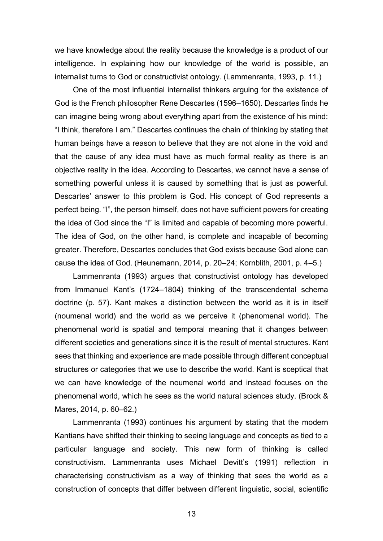we have knowledge about the reality because the knowledge is a product of our intelligence. In explaining how our knowledge of the world is possible, an internalist turns to God or constructivist ontology. (Lammenranta, 1993, p. 11.)

One of the most influential internalist thinkers arguing for the existence of God is the French philosopher Rene Descartes (1596–1650). Descartes finds he can imagine being wrong about everything apart from the existence of his mind: "I think, therefore I am." Descartes continues the chain of thinking by stating that human beings have a reason to believe that they are not alone in the void and that the cause of any idea must have as much formal reality as there is an objective reality in the idea. According to Descartes, we cannot have a sense of something powerful unless it is caused by something that is just as powerful. Descartes' answer to this problem is God. His concept of God represents a perfect being. "I", the person himself, does not have sufficient powers for creating the idea of God since the "I" is limited and capable of becoming more powerful. The idea of God, on the other hand, is complete and incapable of becoming greater. Therefore, Descartes concludes that God exists because God alone can cause the idea of God. (Heunemann, 2014, p. 20–24; Kornblith, 2001, p. 4–5.)

Lammenranta (1993) argues that constructivist ontology has developed from Immanuel Kant's (1724–1804) thinking of the transcendental schema doctrine (p. 57). Kant makes a distinction between the world as it is in itself (noumenal world) and the world as we perceive it (phenomenal world). The phenomenal world is spatial and temporal meaning that it changes between different societies and generations since it is the result of mental structures. Kant sees that thinking and experience are made possible through different conceptual structures or categories that we use to describe the world. Kant is sceptical that we can have knowledge of the noumenal world and instead focuses on the phenomenal world, which he sees as the world natural sciences study. (Brock & Mares, 2014, p. 60–62.)

Lammenranta (1993) continues his argument by stating that the modern Kantians have shifted their thinking to seeing language and concepts as tied to a particular language and society. This new form of thinking is called constructivism. Lammenranta uses Michael Devitt's (1991) reflection in characterising constructivism as a way of thinking that sees the world as a construction of concepts that differ between different linguistic, social, scientific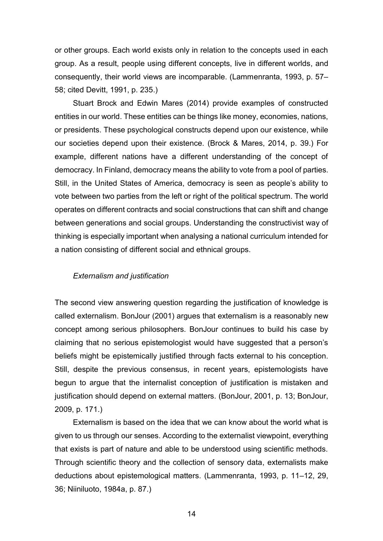or other groups. Each world exists only in relation to the concepts used in each group. As a result, people using different concepts, live in different worlds, and consequently, their world views are incomparable. (Lammenranta, 1993, p. 57– 58; cited Devitt, 1991, p. 235.)

Stuart Brock and Edwin Mares (2014) provide examples of constructed entities in our world. These entities can be things like money, economies, nations, or presidents. These psychological constructs depend upon our existence, while our societies depend upon their existence. (Brock & Mares, 2014, p. 39.) For example, different nations have a different understanding of the concept of democracy. In Finland, democracy means the ability to vote from a pool of parties. Still, in the United States of America, democracy is seen as people's ability to vote between two parties from the left or right of the political spectrum. The world operates on different contracts and social constructions that can shift and change between generations and social groups. Understanding the constructivist way of thinking is especially important when analysing a national curriculum intended for a nation consisting of different social and ethnical groups.

#### *Externalism and justification*

The second view answering question regarding the justification of knowledge is called externalism. BonJour (2001) argues that externalism is a reasonably new concept among serious philosophers. BonJour continues to build his case by claiming that no serious epistemologist would have suggested that a person's beliefs might be epistemically justified through facts external to his conception. Still, despite the previous consensus, in recent years, epistemologists have begun to argue that the internalist conception of justification is mistaken and justification should depend on external matters. (BonJour, 2001, p. 13; BonJour, 2009, p. 171.)

Externalism is based on the idea that we can know about the world what is given to us through our senses. According to the externalist viewpoint, everything that exists is part of nature and able to be understood using scientific methods. Through scientific theory and the collection of sensory data, externalists make deductions about epistemological matters. (Lammenranta, 1993, p. 11–12, 29, 36; Niiniluoto, 1984a, p. 87.)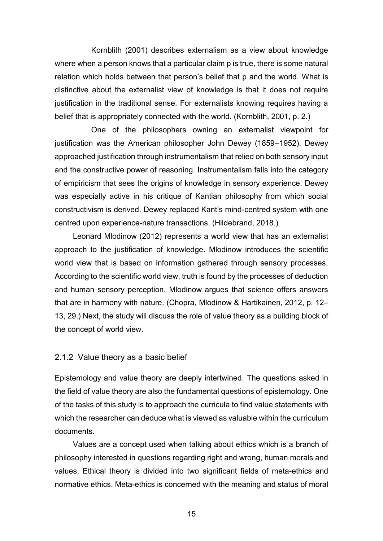Kornblith (2001) describes externalism as a view about knowledge where when a person knows that a particular claim p is true, there is some natural relation which holds between that person's belief that p and the world. What is distinctive about the externalist view of knowledge is that it does not require justification in the traditional sense. For externalists knowing requires having a belief that is appropriately connected with the world. (Kornblith, 2001, p. 2.)

One of the philosophers owning an externalist viewpoint for justification was the American philosopher John Dewey (1859–1952). Dewey approached justification through instrumentalism that relied on both sensory input and the constructive power of reasoning. Instrumentalism falls into the category of empiricism that sees the origins of knowledge in sensory experience. Dewey was especially active in his critique of Kantian philosophy from which social constructivism is derived. Dewey replaced Kant's mind-centred system with one centred upon experience-nature transactions. (Hildebrand, 2018.)

Leonard Mlodinow (2012) represents a world view that has an externalist approach to the justification of knowledge. Mlodinow introduces the scientific world view that is based on information gathered through sensory processes. According to the scientific world view, truth is found by the processes of deduction and human sensory perception. Mlodinow argues that science offers answers that are in harmony with nature. (Chopra, Mlodinow & Hartikainen, 2012, p. 12– 13, 29.) Next, the study will discuss the role of value theory as a building block of the concept of world view.

#### <span id="page-14-0"></span>2.1.2 Value theory as a basic belief

Epistemology and value theory are deeply intertwined. The questions asked in the field of value theory are also the fundamental questions of epistemology. One of the tasks of this study is to approach the curricula to find value statements with which the researcher can deduce what is viewed as valuable within the curriculum documents.

Values are a concept used when talking about ethics which is a branch of philosophy interested in questions regarding right and wrong, human morals and values. Ethical theory is divided into two significant fields of meta-ethics and normative ethics. Meta-ethics is concerned with the meaning and status of moral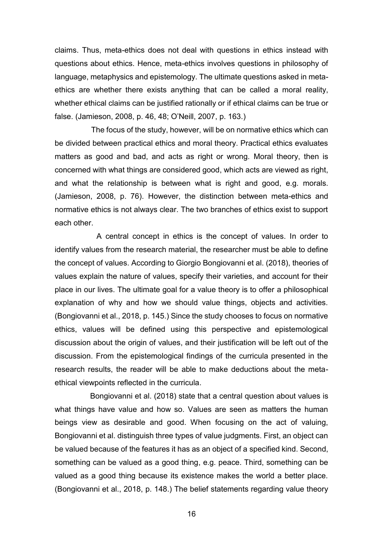claims. Thus, meta-ethics does not deal with questions in ethics instead with questions about ethics. Hence, meta-ethics involves questions in philosophy of language, metaphysics and epistemology. The ultimate questions asked in metaethics are whether there exists anything that can be called a moral reality, whether ethical claims can be justified rationally or if ethical claims can be true or false. (Jamieson, 2008, p. 46, 48; O'Neill, 2007, p. 163.)

The focus of the study, however, will be on normative ethics which can be divided between practical ethics and moral theory. Practical ethics evaluates matters as good and bad, and acts as right or wrong. Moral theory, then is concerned with what things are considered good, which acts are viewed as right, and what the relationship is between what is right and good, e.g. morals. (Jamieson, 2008, p. 76). However, the distinction between meta-ethics and normative ethics is not always clear. The two branches of ethics exist to support each other.

 A central concept in ethics is the concept of values. In order to identify values from the research material, the researcher must be able to define the concept of values. According to Giorgio Bongiovanni et al. (2018), theories of values explain the nature of values, specify their varieties, and account for their place in our lives. The ultimate goal for a value theory is to offer a philosophical explanation of why and how we should value things, objects and activities. (Bongiovanni et al., 2018, p. 145.) Since the study chooses to focus on normative ethics, values will be defined using this perspective and epistemological discussion about the origin of values, and their justification will be left out of the discussion. From the epistemological findings of the curricula presented in the research results, the reader will be able to make deductions about the metaethical viewpoints reflected in the curricula.

 Bongiovanni et al. (2018) state that a central question about values is what things have value and how so. Values are seen as matters the human beings view as desirable and good. When focusing on the act of valuing, Bongiovanni et al. distinguish three types of value judgments. First, an object can be valued because of the features it has as an object of a specified kind. Second, something can be valued as a good thing, e.g. peace. Third, something can be valued as a good thing because its existence makes the world a better place. (Bongiovanni et al., 2018, p. 148.) The belief statements regarding value theory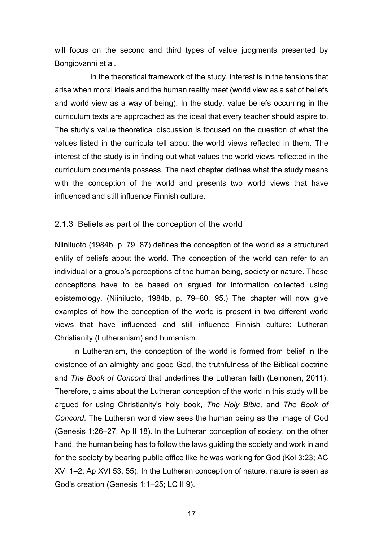will focus on the second and third types of value judgments presented by Bongiovanni et al.

 In the theoretical framework of the study, interest is in the tensions that arise when moral ideals and the human reality meet (world view as a set of beliefs and world view as a way of being). In the study, value beliefs occurring in the curriculum texts are approached as the ideal that every teacher should aspire to. The study's value theoretical discussion is focused on the question of what the values listed in the curricula tell about the world views reflected in them. The interest of the study is in finding out what values the world views reflected in the curriculum documents possess. The next chapter defines what the study means with the conception of the world and presents two world views that have influenced and still influence Finnish culture.

#### <span id="page-16-0"></span>2.1.3 Beliefs as part of the conception of the world

Niiniluoto (1984b, p. 79, 87) defines the conception of the world as a structured entity of beliefs about the world. The conception of the world can refer to an individual or a group's perceptions of the human being, society or nature. These conceptions have to be based on argued for information collected using epistemology. (Niiniluoto, 1984b, p. 79–80, 95.) The chapter will now give examples of how the conception of the world is present in two different world views that have influenced and still influence Finnish culture: Lutheran Christianity (Lutheranism) and humanism.

In Lutheranism, the conception of the world is formed from belief in the existence of an almighty and good God, the truthfulness of the Biblical doctrine and *The Book of Concord* that underlines the Lutheran faith (Leinonen, 2011). Therefore, claims about the Lutheran conception of the world in this study will be argued for using Christianity's holy book, *The Holy Bible,* and *The Book of Concord*. The Lutheran world view sees the human being as the image of God (Genesis 1:26–27, Ap II 18). In the Lutheran conception of society, on the other hand, the human being has to follow the laws guiding the society and work in and for the society by bearing public office like he was working for God (Kol 3:23; AC XVI 1–2; Ap XVI 53, 55). In the Lutheran conception of nature, nature is seen as God's creation (Genesis 1:1–25; LC II 9).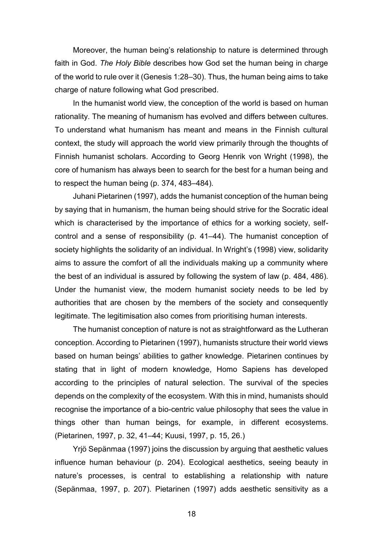Moreover, the human being's relationship to nature is determined through faith in God. *The Holy Bible* describes how God set the human being in charge of the world to rule over it (Genesis 1:28–30). Thus, the human being aims to take charge of nature following what God prescribed.

In the humanist world view, the conception of the world is based on human rationality. The meaning of humanism has evolved and differs between cultures. To understand what humanism has meant and means in the Finnish cultural context, the study will approach the world view primarily through the thoughts of Finnish humanist scholars. According to Georg Henrik von Wright (1998), the core of humanism has always been to search for the best for a human being and to respect the human being (p. 374, 483–484).

Juhani Pietarinen (1997), adds the humanist conception of the human being by saying that in humanism, the human being should strive for the Socratic ideal which is characterised by the importance of ethics for a working society, selfcontrol and a sense of responsibility (p. 41–44). The humanist conception of society highlights the solidarity of an individual. In Wright's (1998) view, solidarity aims to assure the comfort of all the individuals making up a community where the best of an individual is assured by following the system of law (p. 484, 486). Under the humanist view, the modern humanist society needs to be led by authorities that are chosen by the members of the society and consequently legitimate. The legitimisation also comes from prioritising human interests.

The humanist conception of nature is not as straightforward as the Lutheran conception. According to Pietarinen (1997), humanists structure their world views based on human beings' abilities to gather knowledge. Pietarinen continues by stating that in light of modern knowledge, Homo Sapiens has developed according to the principles of natural selection. The survival of the species depends on the complexity of the ecosystem. With this in mind, humanists should recognise the importance of a bio-centric value philosophy that sees the value in things other than human beings, for example, in different ecosystems. (Pietarinen, 1997, p. 32, 41–44; Kuusi, 1997, p. 15, 26.)

Yrjö Sepänmaa (1997) joins the discussion by arguing that aesthetic values influence human behaviour (p. 204). Ecological aesthetics, seeing beauty in nature's processes, is central to establishing a relationship with nature (Sepänmaa, 1997, p. 207). Pietarinen (1997) adds aesthetic sensitivity as a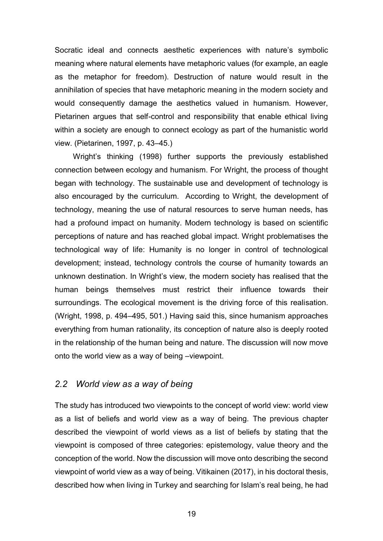Socratic ideal and connects aesthetic experiences with nature's symbolic meaning where natural elements have metaphoric values (for example, an eagle as the metaphor for freedom). Destruction of nature would result in the annihilation of species that have metaphoric meaning in the modern society and would consequently damage the aesthetics valued in humanism. However, Pietarinen argues that self-control and responsibility that enable ethical living within a society are enough to connect ecology as part of the humanistic world view. (Pietarinen, 1997, p. 43–45.)

Wright's thinking (1998) further supports the previously established connection between ecology and humanism. For Wright, the process of thought began with technology. The sustainable use and development of technology is also encouraged by the curriculum. According to Wright, the development of technology, meaning the use of natural resources to serve human needs, has had a profound impact on humanity. Modern technology is based on scientific perceptions of nature and has reached global impact. Wright problematises the technological way of life: Humanity is no longer in control of technological development; instead, technology controls the course of humanity towards an unknown destination. In Wright's view, the modern society has realised that the human beings themselves must restrict their influence towards their surroundings. The ecological movement is the driving force of this realisation. (Wright, 1998, p. 494–495, 501.) Having said this, since humanism approaches everything from human rationality, its conception of nature also is deeply rooted in the relationship of the human being and nature. The discussion will now move onto the world view as a way of being –viewpoint.

#### <span id="page-18-0"></span>*2.2 World view as a way of being*

The study has introduced two viewpoints to the concept of world view: world view as a list of beliefs and world view as a way of being. The previous chapter described the viewpoint of world views as a list of beliefs by stating that the viewpoint is composed of three categories: epistemology, value theory and the conception of the world. Now the discussion will move onto describing the second viewpoint of world view as a way of being. Vitikainen (2017), in his doctoral thesis, described how when living in Turkey and searching for Islam's real being, he had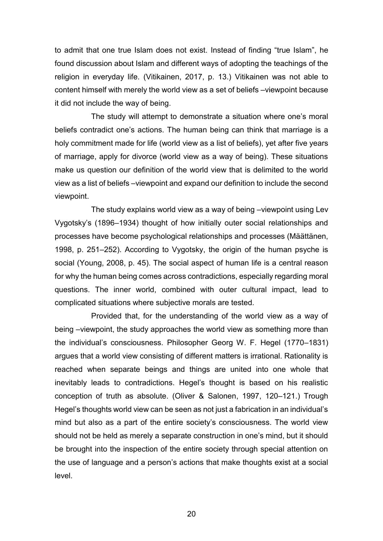to admit that one true Islam does not exist. Instead of finding "true Islam", he found discussion about Islam and different ways of adopting the teachings of the religion in everyday life. (Vitikainen, 2017, p. 13.) Vitikainen was not able to content himself with merely the world view as a set of beliefs –viewpoint because it did not include the way of being.

The study will attempt to demonstrate a situation where one's moral beliefs contradict one's actions. The human being can think that marriage is a holy commitment made for life (world view as a list of beliefs), yet after five years of marriage, apply for divorce (world view as a way of being). These situations make us question our definition of the world view that is delimited to the world view as a list of beliefs –viewpoint and expand our definition to include the second viewpoint.

The study explains world view as a way of being –viewpoint using Lev Vygotsky's (1896–1934) thought of how initially outer social relationships and processes have become psychological relationships and processes (Määttänen, 1998, p. 251–252). According to Vygotsky, the origin of the human psyche is social (Young, 2008, p. 45). The social aspect of human life is a central reason for why the human being comes across contradictions, especially regarding moral questions. The inner world, combined with outer cultural impact, lead to complicated situations where subjective morals are tested.

Provided that, for the understanding of the world view as a way of being –viewpoint, the study approaches the world view as something more than the individual's consciousness. Philosopher Georg W. F. Hegel (1770–1831) argues that a world view consisting of different matters is irrational. Rationality is reached when separate beings and things are united into one whole that inevitably leads to contradictions. Hegel's thought is based on his realistic conception of truth as absolute. (Oliver & Salonen, 1997, 120–121.) Trough Hegel's thoughts world view can be seen as not just a fabrication in an individual's mind but also as a part of the entire society's consciousness. The world view should not be held as merely a separate construction in one's mind, but it should be brought into the inspection of the entire society through special attention on the use of language and a person's actions that make thoughts exist at a social level.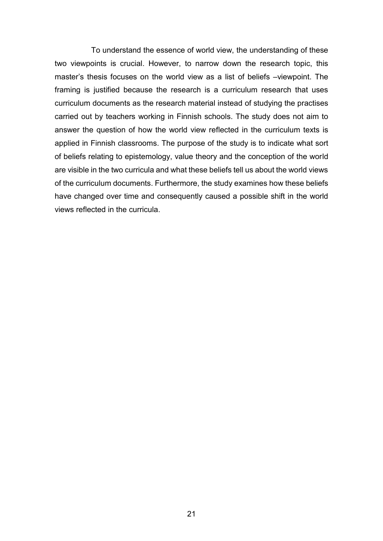To understand the essence of world view, the understanding of these two viewpoints is crucial. However, to narrow down the research topic, this master's thesis focuses on the world view as a list of beliefs –viewpoint. The framing is justified because the research is a curriculum research that uses curriculum documents as the research material instead of studying the practises carried out by teachers working in Finnish schools. The study does not aim to answer the question of how the world view reflected in the curriculum texts is applied in Finnish classrooms. The purpose of the study is to indicate what sort of beliefs relating to epistemology, value theory and the conception of the world are visible in the two curricula and what these beliefs tell us about the world views of the curriculum documents. Furthermore, the study examines how these beliefs have changed over time and consequently caused a possible shift in the world views reflected in the curricula.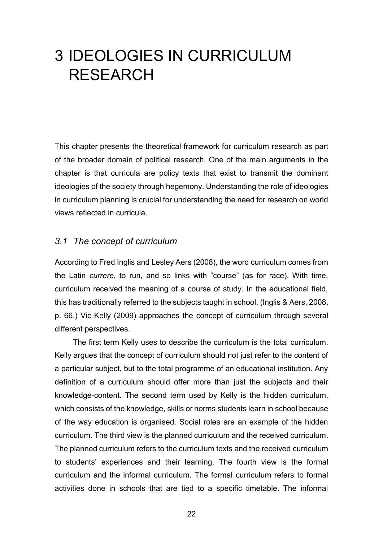# <span id="page-21-0"></span>3 IDEOLOGIES IN CURRICULUM RESEARCH

This chapter presents the theoretical framework for curriculum research as part of the broader domain of political research. One of the main arguments in the chapter is that curricula are policy texts that exist to transmit the dominant ideologies of the society through hegemony. Understanding the role of ideologies in curriculum planning is crucial for understanding the need for research on world views reflected in curricula.

### <span id="page-21-1"></span>*3.1 The concept of curriculum*

According to Fred Inglis and Lesley Aers (2008), the word curriculum comes from the Latin *currere*, to run, and so links with "course" (as for race). With time, curriculum received the meaning of a course of study. In the educational field, this has traditionally referred to the subjects taught in school. (Inglis & Aers, 2008, p. 66.) Vic Kelly (2009) approaches the concept of curriculum through several different perspectives.

The first term Kelly uses to describe the curriculum is the total curriculum. Kelly argues that the concept of curriculum should not just refer to the content of a particular subject, but to the total programme of an educational institution. Any definition of a curriculum should offer more than just the subjects and their knowledge-content. The second term used by Kelly is the hidden curriculum, which consists of the knowledge, skills or norms students learn in school because of the way education is organised. Social roles are an example of the hidden curriculum. The third view is the planned curriculum and the received curriculum. The planned curriculum refers to the curriculum texts and the received curriculum to students' experiences and their learning. The fourth view is the formal curriculum and the informal curriculum. The formal curriculum refers to formal activities done in schools that are tied to a specific timetable. The informal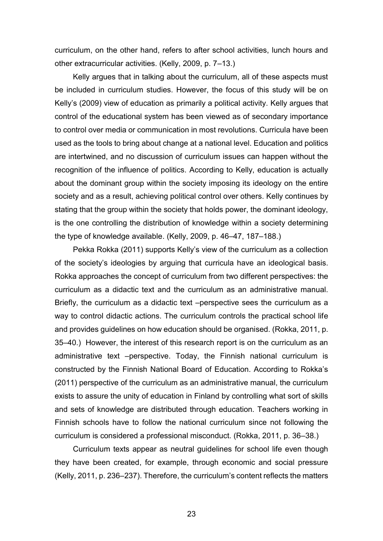curriculum, on the other hand, refers to after school activities, lunch hours and other extracurricular activities. (Kelly, 2009, p. 7–13.)

Kelly argues that in talking about the curriculum, all of these aspects must be included in curriculum studies. However, the focus of this study will be on Kelly's (2009) view of education as primarily a political activity. Kelly argues that control of the educational system has been viewed as of secondary importance to control over media or communication in most revolutions. Curricula have been used as the tools to bring about change at a national level. Education and politics are intertwined, and no discussion of curriculum issues can happen without the recognition of the influence of politics. According to Kelly, education is actually about the dominant group within the society imposing its ideology on the entire society and as a result, achieving political control over others. Kelly continues by stating that the group within the society that holds power, the dominant ideology, is the one controlling the distribution of knowledge within a society determining the type of knowledge available. (Kelly, 2009, p. 46–47, 187–188.)

Pekka Rokka (2011) supports Kelly's view of the curriculum as a collection of the society's ideologies by arguing that curricula have an ideological basis. Rokka approaches the concept of curriculum from two different perspectives: the curriculum as a didactic text and the curriculum as an administrative manual. Briefly, the curriculum as a didactic text –perspective sees the curriculum as a way to control didactic actions. The curriculum controls the practical school life and provides guidelines on how education should be organised. (Rokka, 2011, p. 35–40.) However, the interest of this research report is on the curriculum as an administrative text –perspective. Today, the Finnish national curriculum is constructed by the Finnish National Board of Education. According to Rokka's (2011) perspective of the curriculum as an administrative manual, the curriculum exists to assure the unity of education in Finland by controlling what sort of skills and sets of knowledge are distributed through education. Teachers working in Finnish schools have to follow the national curriculum since not following the curriculum is considered a professional misconduct. (Rokka, 2011, p. 36–38.)

Curriculum texts appear as neutral guidelines for school life even though they have been created, for example, through economic and social pressure (Kelly, 2011, p. 236–237). Therefore, the curriculum's content reflects the matters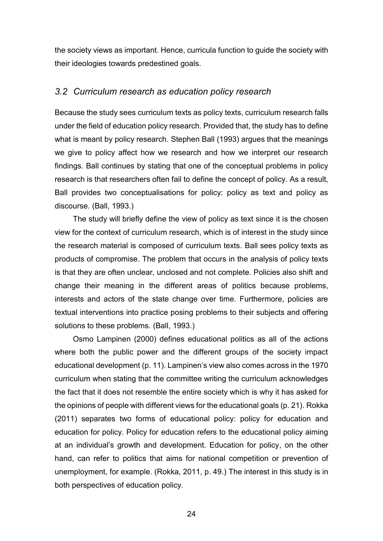the society views as important. Hence, curricula function to guide the society with their ideologies towards predestined goals.

### <span id="page-23-0"></span>*3.2 Curriculum research as education policy research*

Because the study sees curriculum texts as policy texts, curriculum research falls under the field of education policy research. Provided that, the study has to define what is meant by policy research. Stephen Ball (1993) argues that the meanings we give to policy affect how we research and how we interpret our research findings. Ball continues by stating that one of the conceptual problems in policy research is that researchers often fail to define the concept of policy. As a result, Ball provides two conceptualisations for policy: policy as text and policy as discourse. (Ball, 1993.)

The study will briefly define the view of policy as text since it is the chosen view for the context of curriculum research, which is of interest in the study since the research material is composed of curriculum texts. Ball sees policy texts as products of compromise. The problem that occurs in the analysis of policy texts is that they are often unclear, unclosed and not complete. Policies also shift and change their meaning in the different areas of politics because problems, interests and actors of the state change over time. Furthermore, policies are textual interventions into practice posing problems to their subjects and offering solutions to these problems. (Ball, 1993.)

Osmo Lampinen (2000) defines educational politics as all of the actions where both the public power and the different groups of the society impact educational development (p. 11). Lampinen's view also comes across in the 1970 curriculum when stating that the committee writing the curriculum acknowledges the fact that it does not resemble the entire society which is why it has asked for the opinions of people with different views for the educational goals (p. 21). Rokka (2011) separates two forms of educational policy: policy for education and education for policy. Policy for education refers to the educational policy aiming at an individual's growth and development. Education for policy, on the other hand, can refer to politics that aims for national competition or prevention of unemployment, for example. (Rokka, 2011, p. 49.) The interest in this study is in both perspectives of education policy.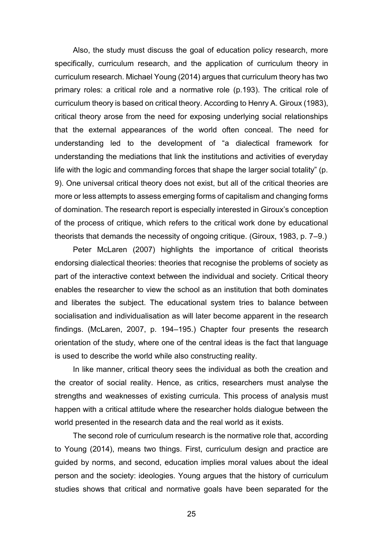Also, the study must discuss the goal of education policy research, more specifically, curriculum research, and the application of curriculum theory in curriculum research. Michael Young (2014) argues that curriculum theory has two primary roles: a critical role and a normative role (p.193). The critical role of curriculum theory is based on critical theory. According to Henry A. Giroux (1983), critical theory arose from the need for exposing underlying social relationships that the external appearances of the world often conceal. The need for understanding led to the development of "a dialectical framework for understanding the mediations that link the institutions and activities of everyday life with the logic and commanding forces that shape the larger social totality" (p. 9). One universal critical theory does not exist, but all of the critical theories are more or less attempts to assess emerging forms of capitalism and changing forms of domination. The research report is especially interested in Giroux's conception of the process of critique, which refers to the critical work done by educational theorists that demands the necessity of ongoing critique. (Giroux, 1983, p. 7–9.)

Peter McLaren (2007) highlights the importance of critical theorists endorsing dialectical theories: theories that recognise the problems of society as part of the interactive context between the individual and society. Critical theory enables the researcher to view the school as an institution that both dominates and liberates the subject. The educational system tries to balance between socialisation and individualisation as will later become apparent in the research findings. (McLaren, 2007, p. 194–195.) Chapter four presents the research orientation of the study, where one of the central ideas is the fact that language is used to describe the world while also constructing reality.

In like manner, critical theory sees the individual as both the creation and the creator of social reality. Hence, as critics, researchers must analyse the strengths and weaknesses of existing curricula. This process of analysis must happen with a critical attitude where the researcher holds dialogue between the world presented in the research data and the real world as it exists.

The second role of curriculum research is the normative role that, according to Young (2014), means two things. First, curriculum design and practice are guided by norms, and second, education implies moral values about the ideal person and the society: ideologies. Young argues that the history of curriculum studies shows that critical and normative goals have been separated for the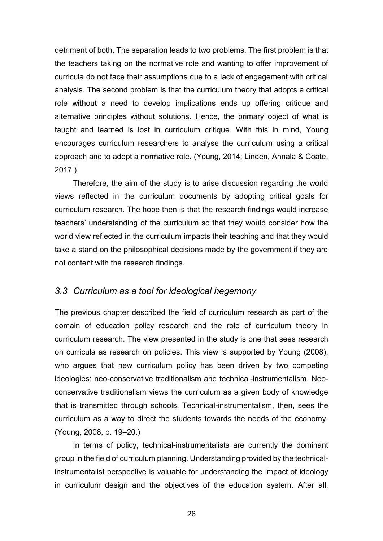detriment of both. The separation leads to two problems. The first problem is that the teachers taking on the normative role and wanting to offer improvement of curricula do not face their assumptions due to a lack of engagement with critical analysis. The second problem is that the curriculum theory that adopts a critical role without a need to develop implications ends up offering critique and alternative principles without solutions. Hence, the primary object of what is taught and learned is lost in curriculum critique. With this in mind, Young encourages curriculum researchers to analyse the curriculum using a critical approach and to adopt a normative role. (Young, 2014; Linden, Annala & Coate, 2017.)

Therefore, the aim of the study is to arise discussion regarding the world views reflected in the curriculum documents by adopting critical goals for curriculum research. The hope then is that the research findings would increase teachers' understanding of the curriculum so that they would consider how the world view reflected in the curriculum impacts their teaching and that they would take a stand on the philosophical decisions made by the government if they are not content with the research findings.

## <span id="page-25-0"></span>*3.3 Curriculum as a tool for ideological hegemony*

The previous chapter described the field of curriculum research as part of the domain of education policy research and the role of curriculum theory in curriculum research. The view presented in the study is one that sees research on curricula as research on policies. This view is supported by Young (2008), who argues that new curriculum policy has been driven by two competing ideologies: neo-conservative traditionalism and technical-instrumentalism. Neoconservative traditionalism views the curriculum as a given body of knowledge that is transmitted through schools. Technical-instrumentalism, then, sees the curriculum as a way to direct the students towards the needs of the economy. (Young, 2008, p. 19–20.)

In terms of policy, technical-instrumentalists are currently the dominant group in the field of curriculum planning. Understanding provided by the technicalinstrumentalist perspective is valuable for understanding the impact of ideology in curriculum design and the objectives of the education system. After all,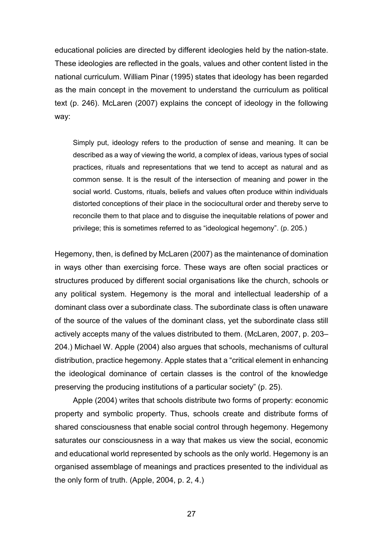educational policies are directed by different ideologies held by the nation-state. These ideologies are reflected in the goals, values and other content listed in the national curriculum. William Pinar (1995) states that ideology has been regarded as the main concept in the movement to understand the curriculum as political text (p. 246). McLaren (2007) explains the concept of ideology in the following way:

Simply put, ideology refers to the production of sense and meaning. It can be described as a way of viewing the world, a complex of ideas, various types of social practices, rituals and representations that we tend to accept as natural and as common sense. It is the result of the intersection of meaning and power in the social world. Customs, rituals, beliefs and values often produce within individuals distorted conceptions of their place in the sociocultural order and thereby serve to reconcile them to that place and to disguise the inequitable relations of power and privilege; this is sometimes referred to as "ideological hegemony". (p. 205.)

Hegemony, then, is defined by McLaren (2007) as the maintenance of domination in ways other than exercising force. These ways are often social practices or structures produced by different social organisations like the church, schools or any political system. Hegemony is the moral and intellectual leadership of a dominant class over a subordinate class. The subordinate class is often unaware of the source of the values of the dominant class, yet the subordinate class still actively accepts many of the values distributed to them. (McLaren, 2007, p. 203– 204.) Michael W. Apple (2004) also argues that schools, mechanisms of cultural distribution, practice hegemony. Apple states that a "critical element in enhancing the ideological dominance of certain classes is the control of the knowledge preserving the producing institutions of a particular society" (p. 25).

Apple (2004) writes that schools distribute two forms of property: economic property and symbolic property. Thus, schools create and distribute forms of shared consciousness that enable social control through hegemony. Hegemony saturates our consciousness in a way that makes us view the social, economic and educational world represented by schools as the only world. Hegemony is an organised assemblage of meanings and practices presented to the individual as the only form of truth. (Apple, 2004, p. 2, 4.)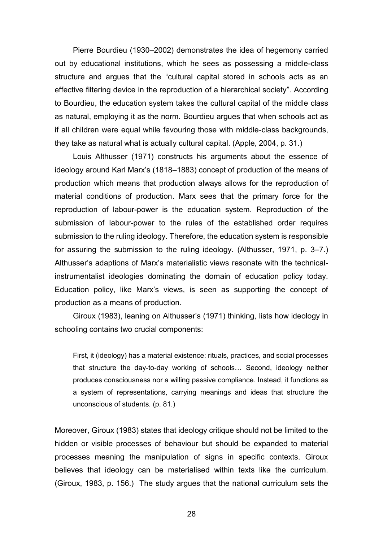Pierre Bourdieu (1930–2002) demonstrates the idea of hegemony carried out by educational institutions, which he sees as possessing a middle-class structure and argues that the "cultural capital stored in schools acts as an effective filtering device in the reproduction of a hierarchical society". According to Bourdieu, the education system takes the cultural capital of the middle class as natural, employing it as the norm. Bourdieu argues that when schools act as if all children were equal while favouring those with middle-class backgrounds, they take as natural what is actually cultural capital. (Apple, 2004, p. 31.)

Louis Althusser (1971) constructs his arguments about the essence of ideology around Karl Marx's (1818–1883) concept of production of the means of production which means that production always allows for the reproduction of material conditions of production. Marx sees that the primary force for the reproduction of labour-power is the education system. Reproduction of the submission of labour-power to the rules of the established order requires submission to the ruling ideology. Therefore, the education system is responsible for assuring the submission to the ruling ideology. (Althusser, 1971, p. 3–7.) Althusser's adaptions of Marx's materialistic views resonate with the technicalinstrumentalist ideologies dominating the domain of education policy today. Education policy, like Marx's views, is seen as supporting the concept of production as a means of production.

Giroux (1983), leaning on Althusser's (1971) thinking, lists how ideology in schooling contains two crucial components:

First, it (ideology) has a material existence: rituals, practices, and social processes that structure the day-to-day working of schools… Second, ideology neither produces consciousness nor a willing passive compliance. Instead, it functions as a system of representations, carrying meanings and ideas that structure the unconscious of students. (p. 81.)

Moreover, Giroux (1983) states that ideology critique should not be limited to the hidden or visible processes of behaviour but should be expanded to material processes meaning the manipulation of signs in specific contexts. Giroux believes that ideology can be materialised within texts like the curriculum. (Giroux, 1983, p. 156.) The study argues that the national curriculum sets the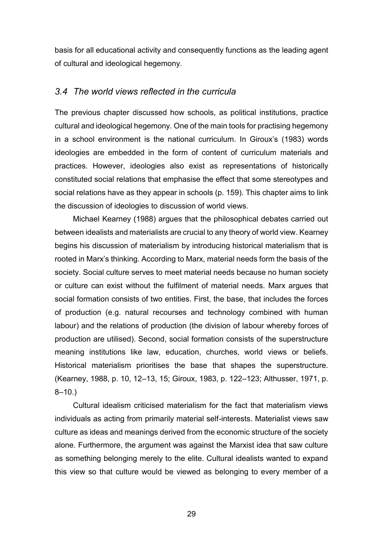basis for all educational activity and consequently functions as the leading agent of cultural and ideological hegemony.

## <span id="page-28-0"></span>*3.4 The world views reflected in the curricula*

The previous chapter discussed how schools, as political institutions, practice cultural and ideological hegemony. One of the main tools for practising hegemony in a school environment is the national curriculum. In Giroux's (1983) words ideologies are embedded in the form of content of curriculum materials and practices. However, ideologies also exist as representations of historically constituted social relations that emphasise the effect that some stereotypes and social relations have as they appear in schools (p. 159). This chapter aims to link the discussion of ideologies to discussion of world views.

Michael Kearney (1988) argues that the philosophical debates carried out between idealists and materialists are crucial to any theory of world view. Kearney begins his discussion of materialism by introducing historical materialism that is rooted in Marx's thinking. According to Marx, material needs form the basis of the society. Social culture serves to meet material needs because no human society or culture can exist without the fulfilment of material needs. Marx argues that social formation consists of two entities. First, the base, that includes the forces of production (e.g. natural recourses and technology combined with human labour) and the relations of production (the division of labour whereby forces of production are utilised). Second, social formation consists of the superstructure meaning institutions like law, education, churches, world views or beliefs. Historical materialism prioritises the base that shapes the superstructure. (Kearney, 1988, p. 10, 12–13, 15; Giroux, 1983, p. 122–123; Althusser, 1971, p.  $8 - 10.$ 

Cultural idealism criticised materialism for the fact that materialism views individuals as acting from primarily material self-interests. Materialist views saw culture as ideas and meanings derived from the economic structure of the society alone. Furthermore, the argument was against the Marxist idea that saw culture as something belonging merely to the elite. Cultural idealists wanted to expand this view so that culture would be viewed as belonging to every member of a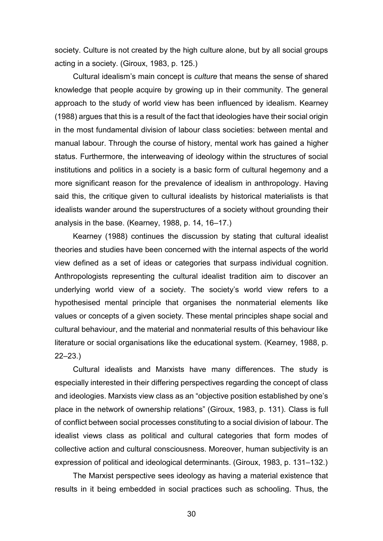society. Culture is not created by the high culture alone, but by all social groups acting in a society. (Giroux, 1983, p. 125.)

Cultural idealism's main concept is *culture* that means the sense of shared knowledge that people acquire by growing up in their community. The general approach to the study of world view has been influenced by idealism. Kearney (1988) argues that this is a result of the fact that ideologies have their social origin in the most fundamental division of labour class societies: between mental and manual labour. Through the course of history, mental work has gained a higher status. Furthermore, the interweaving of ideology within the structures of social institutions and politics in a society is a basic form of cultural hegemony and a more significant reason for the prevalence of idealism in anthropology. Having said this, the critique given to cultural idealists by historical materialists is that idealists wander around the superstructures of a society without grounding their analysis in the base. (Kearney, 1988, p. 14, 16–17.)

Kearney (1988) continues the discussion by stating that cultural idealist theories and studies have been concerned with the internal aspects of the world view defined as a set of ideas or categories that surpass individual cognition. Anthropologists representing the cultural idealist tradition aim to discover an underlying world view of a society. The society's world view refers to a hypothesised mental principle that organises the nonmaterial elements like values or concepts of a given society. These mental principles shape social and cultural behaviour, and the material and nonmaterial results of this behaviour like literature or social organisations like the educational system. (Kearney, 1988, p. 22–23.)

Cultural idealists and Marxists have many differences. The study is especially interested in their differing perspectives regarding the concept of class and ideologies. Marxists view class as an "objective position established by one's place in the network of ownership relations" (Giroux, 1983, p. 131). Class is full of conflict between social processes constituting to a social division of labour. The idealist views class as political and cultural categories that form modes of collective action and cultural consciousness. Moreover, human subjectivity is an expression of political and ideological determinants. (Giroux, 1983, p. 131–132.)

The Marxist perspective sees ideology as having a material existence that results in it being embedded in social practices such as schooling. Thus, the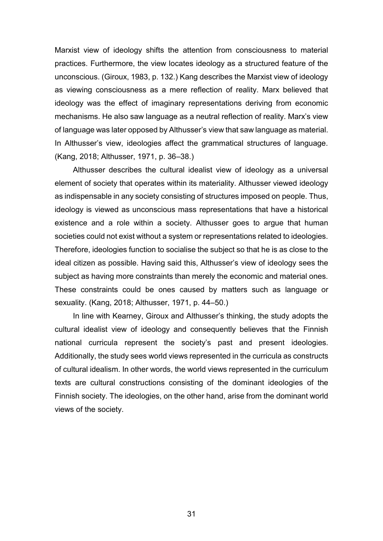Marxist view of ideology shifts the attention from consciousness to material practices. Furthermore, the view locates ideology as a structured feature of the unconscious. (Giroux, 1983, p. 132.) Kang describes the Marxist view of ideology as viewing consciousness as a mere reflection of reality. Marx believed that ideology was the effect of imaginary representations deriving from economic mechanisms. He also saw language as a neutral reflection of reality. Marx's view of language was later opposed by Althusser's view that saw language as material. In Althusser's view, ideologies affect the grammatical structures of language. (Kang, 2018; Althusser, 1971, p. 36–38.)

Althusser describes the cultural idealist view of ideology as a universal element of society that operates within its materiality. Althusser viewed ideology as indispensable in any society consisting of structures imposed on people. Thus, ideology is viewed as unconscious mass representations that have a historical existence and a role within a society. Althusser goes to argue that human societies could not exist without a system or representations related to ideologies. Therefore, ideologies function to socialise the subject so that he is as close to the ideal citizen as possible. Having said this, Althusser's view of ideology sees the subject as having more constraints than merely the economic and material ones. These constraints could be ones caused by matters such as language or sexuality. (Kang, 2018; Althusser, 1971, p. 44–50.)

In line with Kearney, Giroux and Althusser's thinking, the study adopts the cultural idealist view of ideology and consequently believes that the Finnish national curricula represent the society's past and present ideologies. Additionally, the study sees world views represented in the curricula as constructs of cultural idealism. In other words, the world views represented in the curriculum texts are cultural constructions consisting of the dominant ideologies of the Finnish society. The ideologies, on the other hand, arise from the dominant world views of the society.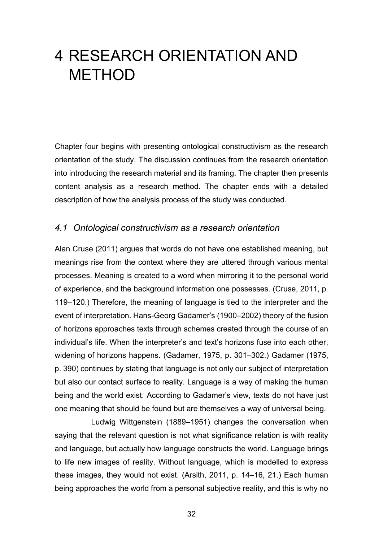# <span id="page-31-0"></span>4 RESEARCH ORIENTATION AND METHOD

Chapter four begins with presenting ontological constructivism as the research orientation of the study. The discussion continues from the research orientation into introducing the research material and its framing. The chapter then presents content analysis as a research method. The chapter ends with a detailed description of how the analysis process of the study was conducted.

#### <span id="page-31-1"></span>*4.1 Ontological constructivism as a research orientation*

Alan Cruse (2011) argues that words do not have one established meaning, but meanings rise from the context where they are uttered through various mental processes. Meaning is created to a word when mirroring it to the personal world of experience, and the background information one possesses. (Cruse, 2011, p. 119–120.) Therefore, the meaning of language is tied to the interpreter and the event of interpretation. Hans-Georg Gadamer's (1900–2002) theory of the fusion of horizons approaches texts through schemes created through the course of an individual's life. When the interpreter's and text's horizons fuse into each other, widening of horizons happens. (Gadamer, 1975, p. 301–302.) Gadamer (1975, p. 390) continues by stating that language is not only our subject of interpretation but also our contact surface to reality. Language is a way of making the human being and the world exist. According to Gadamer's view, texts do not have just one meaning that should be found but are themselves a way of universal being.

Ludwig Wittgenstein (1889–1951) changes the conversation when saying that the relevant question is not what significance relation is with reality and language, but actually how language constructs the world. Language brings to life new images of reality. Without language, which is modelled to express these images, they would not exist. (Arsith, 2011, p. 14–16, 21.) Each human being approaches the world from a personal subjective reality, and this is why no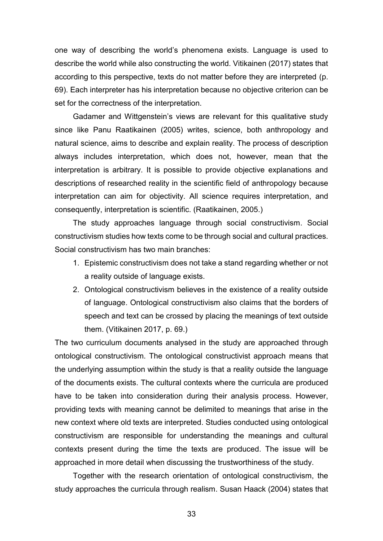one way of describing the world's phenomena exists. Language is used to describe the world while also constructing the world. Vitikainen (2017) states that according to this perspective, texts do not matter before they are interpreted (p. 69). Each interpreter has his interpretation because no objective criterion can be set for the correctness of the interpretation.

Gadamer and Wittgenstein's views are relevant for this qualitative study since like Panu Raatikainen (2005) writes, science, both anthropology and natural science, aims to describe and explain reality. The process of description always includes interpretation, which does not, however, mean that the interpretation is arbitrary. It is possible to provide objective explanations and descriptions of researched reality in the scientific field of anthropology because interpretation can aim for objectivity. All science requires interpretation, and consequently, interpretation is scientific. (Raatikainen, 2005.)

The study approaches language through social constructivism. Social constructivism studies how texts come to be through social and cultural practices. Social constructivism has two main branches:

- 1. Epistemic constructivism does not take a stand regarding whether or not a reality outside of language exists.
- 2. Ontological constructivism believes in the existence of a reality outside of language. Ontological constructivism also claims that the borders of speech and text can be crossed by placing the meanings of text outside them. (Vitikainen 2017, p. 69.)

The two curriculum documents analysed in the study are approached through ontological constructivism. The ontological constructivist approach means that the underlying assumption within the study is that a reality outside the language of the documents exists. The cultural contexts where the curricula are produced have to be taken into consideration during their analysis process. However, providing texts with meaning cannot be delimited to meanings that arise in the new context where old texts are interpreted. Studies conducted using ontological constructivism are responsible for understanding the meanings and cultural contexts present during the time the texts are produced. The issue will be approached in more detail when discussing the trustworthiness of the study.

Together with the research orientation of ontological constructivism, the study approaches the curricula through realism. Susan Haack (2004) states that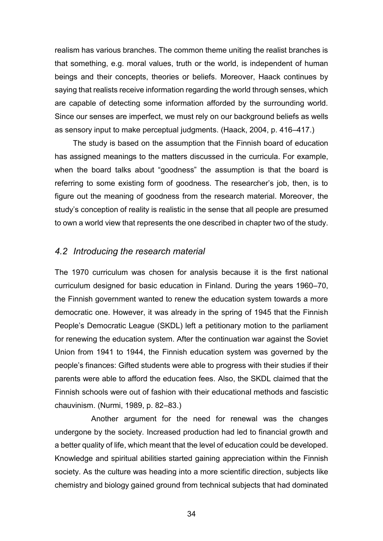realism has various branches. The common theme uniting the realist branches is that something, e.g. moral values, truth or the world, is independent of human beings and their concepts, theories or beliefs. Moreover, Haack continues by saying that realists receive information regarding the world through senses, which are capable of detecting some information afforded by the surrounding world. Since our senses are imperfect, we must rely on our background beliefs as wells as sensory input to make perceptual judgments. (Haack, 2004, p. 416–417.)

The study is based on the assumption that the Finnish board of education has assigned meanings to the matters discussed in the curricula. For example, when the board talks about "goodness" the assumption is that the board is referring to some existing form of goodness. The researcher's job, then, is to figure out the meaning of goodness from the research material. Moreover, the study's conception of reality is realistic in the sense that all people are presumed to own a world view that represents the one described in chapter two of the study.

#### <span id="page-33-0"></span>*4.2 Introducing the research material*

The 1970 curriculum was chosen for analysis because it is the first national curriculum designed for basic education in Finland. During the years 1960–70, the Finnish government wanted to renew the education system towards a more democratic one. However, it was already in the spring of 1945 that the Finnish People's Democratic League (SKDL) left a petitionary motion to the parliament for renewing the education system. After the continuation war against the Soviet Union from 1941 to 1944, the Finnish education system was governed by the people's finances: Gifted students were able to progress with their studies if their parents were able to afford the education fees. Also, the SKDL claimed that the Finnish schools were out of fashion with their educational methods and fascistic chauvinism. (Nurmi, 1989, p. 82–83.)

Another argument for the need for renewal was the changes undergone by the society. Increased production had led to financial growth and a better quality of life, which meant that the level of education could be developed. Knowledge and spiritual abilities started gaining appreciation within the Finnish society. As the culture was heading into a more scientific direction, subjects like chemistry and biology gained ground from technical subjects that had dominated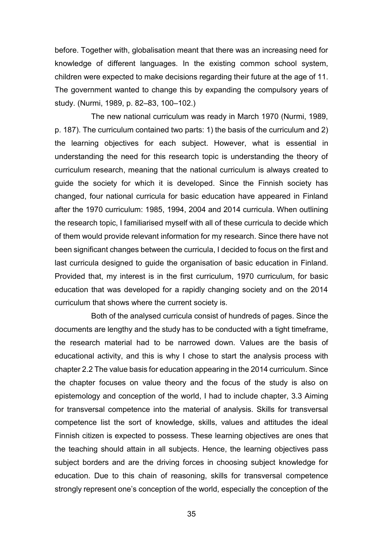before. Together with, globalisation meant that there was an increasing need for knowledge of different languages. In the existing common school system, children were expected to make decisions regarding their future at the age of 11. The government wanted to change this by expanding the compulsory years of study. (Nurmi, 1989, p. 82–83, 100–102.)

The new national curriculum was ready in March 1970 (Nurmi, 1989, p. 187). The curriculum contained two parts: 1) the basis of the curriculum and 2) the learning objectives for each subject. However, what is essential in understanding the need for this research topic is understanding the theory of curriculum research, meaning that the national curriculum is always created to guide the society for which it is developed. Since the Finnish society has changed, four national curricula for basic education have appeared in Finland after the 1970 curriculum: 1985, 1994, 2004 and 2014 curricula. When outlining the research topic, I familiarised myself with all of these curricula to decide which of them would provide relevant information for my research. Since there have not been significant changes between the curricula, I decided to focus on the first and last curricula designed to guide the organisation of basic education in Finland. Provided that, my interest is in the first curriculum, 1970 curriculum, for basic education that was developed for a rapidly changing society and on the 2014 curriculum that shows where the current society is.

Both of the analysed curricula consist of hundreds of pages. Since the documents are lengthy and the study has to be conducted with a tight timeframe, the research material had to be narrowed down. Values are the basis of educational activity, and this is why I chose to start the analysis process with chapter 2.2 The value basis for education appearing in the 2014 curriculum. Since the chapter focuses on value theory and the focus of the study is also on epistemology and conception of the world, I had to include chapter, 3.3 Aiming for transversal competence into the material of analysis. Skills for transversal competence list the sort of knowledge, skills, values and attitudes the ideal Finnish citizen is expected to possess. These learning objectives are ones that the teaching should attain in all subjects. Hence, the learning objectives pass subject borders and are the driving forces in choosing subject knowledge for education. Due to this chain of reasoning, skills for transversal competence strongly represent one's conception of the world, especially the conception of the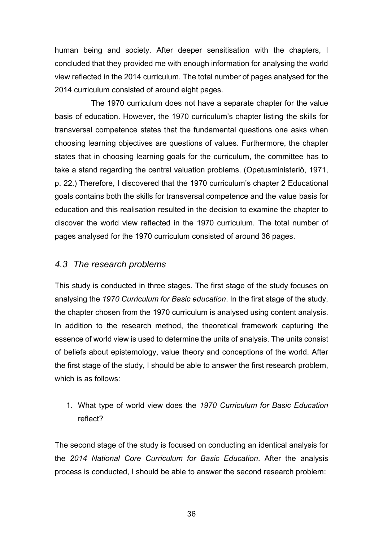human being and society. After deeper sensitisation with the chapters, I concluded that they provided me with enough information for analysing the world view reflected in the 2014 curriculum. The total number of pages analysed for the 2014 curriculum consisted of around eight pages.

The 1970 curriculum does not have a separate chapter for the value basis of education. However, the 1970 curriculum's chapter listing the skills for transversal competence states that the fundamental questions one asks when choosing learning objectives are questions of values. Furthermore, the chapter states that in choosing learning goals for the curriculum, the committee has to take a stand regarding the central valuation problems. (Opetusministeriö, 1971, p. 22.) Therefore, I discovered that the 1970 curriculum's chapter 2 Educational goals contains both the skills for transversal competence and the value basis for education and this realisation resulted in the decision to examine the chapter to discover the world view reflected in the 1970 curriculum. The total number of pages analysed for the 1970 curriculum consisted of around 36 pages.

# <span id="page-35-0"></span>*4.3 The research problems*

This study is conducted in three stages. The first stage of the study focuses on analysing the *1970 Curriculum for Basic education*. In the first stage of the study, the chapter chosen from the 1970 curriculum is analysed using content analysis. In addition to the research method, the theoretical framework capturing the essence of world view is used to determine the units of analysis. The units consist of beliefs about epistemology, value theory and conceptions of the world. After the first stage of the study, I should be able to answer the first research problem, which is as follows:

1. What type of world view does the *1970 Curriculum for Basic Education* reflect?

The second stage of the study is focused on conducting an identical analysis for the *2014 National Core Curriculum for Basic Education*. After the analysis process is conducted, I should be able to answer the second research problem: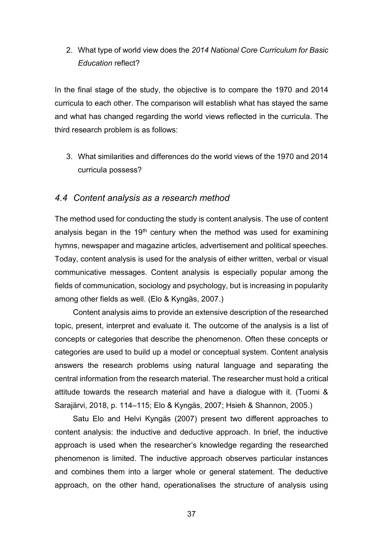## 2. What type of world view does the *2014 National Core Curriculum for Basic Education* reflect?

In the final stage of the study, the objective is to compare the 1970 and 2014 curricula to each other. The comparison will establish what has stayed the same and what has changed regarding the world views reflected in the curricula. The third research problem is as follows:

3. What similarities and differences do the world views of the 1970 and 2014 curricula possess?

## *4.4 Content analysis as a research method*

The method used for conducting the study is content analysis. The use of content analysis began in the 19<sup>th</sup> century when the method was used for examining hymns, newspaper and magazine articles, advertisement and political speeches. Today, content analysis is used for the analysis of either written, verbal or visual communicative messages. Content analysis is especially popular among the fields of communication, sociology and psychology, but is increasing in popularity among other fields as well. (Elo & Kyngäs, 2007.)

Content analysis aims to provide an extensive description of the researched topic, present, interpret and evaluate it. The outcome of the analysis is a list of concepts or categories that describe the phenomenon. Often these concepts or categories are used to build up a model or conceptual system. Content analysis answers the research problems using natural language and separating the central information from the research material. The researcher must hold a critical attitude towards the research material and have a dialogue with it. (Tuomi & Sarajärvi, 2018, p. 114–115; Elo & Kyngäs, 2007; Hsieh & Shannon, 2005.)

Satu Elo and Helvi Kyngäs (2007) present two different approaches to content analysis: the inductive and deductive approach. In brief, the inductive approach is used when the researcher's knowledge regarding the researched phenomenon is limited. The inductive approach observes particular instances and combines them into a larger whole or general statement. The deductive approach, on the other hand, operationalises the structure of analysis using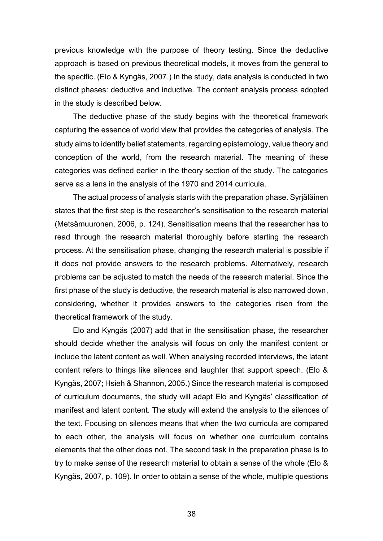previous knowledge with the purpose of theory testing. Since the deductive approach is based on previous theoretical models, it moves from the general to the specific. (Elo & Kyngäs, 2007.) In the study, data analysis is conducted in two distinct phases: deductive and inductive. The content analysis process adopted in the study is described below.

The deductive phase of the study begins with the theoretical framework capturing the essence of world view that provides the categories of analysis. The study aims to identify belief statements, regarding epistemology, value theory and conception of the world, from the research material. The meaning of these categories was defined earlier in the theory section of the study. The categories serve as a lens in the analysis of the 1970 and 2014 curricula.

The actual process of analysis starts with the preparation phase. Syrjäläinen states that the first step is the researcher's sensitisation to the research material (Metsämuuronen, 2006, p. 124). Sensitisation means that the researcher has to read through the research material thoroughly before starting the research process. At the sensitisation phase, changing the research material is possible if it does not provide answers to the research problems. Alternatively, research problems can be adjusted to match the needs of the research material. Since the first phase of the study is deductive, the research material is also narrowed down, considering, whether it provides answers to the categories risen from the theoretical framework of the study.

Elo and Kyngäs (2007) add that in the sensitisation phase, the researcher should decide whether the analysis will focus on only the manifest content or include the latent content as well. When analysing recorded interviews, the latent content refers to things like silences and laughter that support speech. (Elo & Kyngäs, 2007; Hsieh & Shannon, 2005.) Since the research material is composed of curriculum documents, the study will adapt Elo and Kyngäs' classification of manifest and latent content. The study will extend the analysis to the silences of the text. Focusing on silences means that when the two curricula are compared to each other, the analysis will focus on whether one curriculum contains elements that the other does not. The second task in the preparation phase is to try to make sense of the research material to obtain a sense of the whole (Elo & Kyngäs, 2007, p. 109). In order to obtain a sense of the whole, multiple questions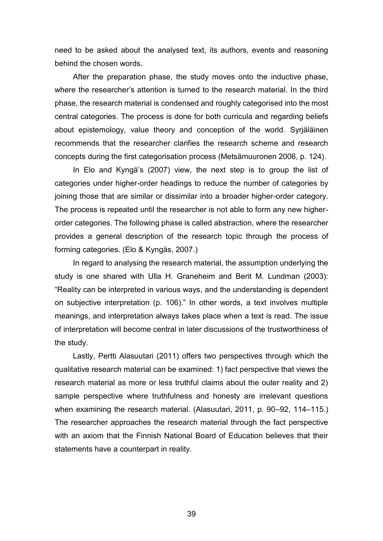need to be asked about the analysed text, its authors, events and reasoning behind the chosen words.

After the preparation phase, the study moves onto the inductive phase, where the researcher's attention is turned to the research material. In the third phase, the research material is condensed and roughly categorised into the most central categories. The process is done for both curricula and regarding beliefs about epistemology, value theory and conception of the world. Syrjäläinen recommends that the researcher clarifies the research scheme and research concepts during the first categorisation process (Metsämuuronen 2006, p. 124).

In Elo and Kyngä's (2007) view, the next step is to group the list of categories under higher-order headings to reduce the number of categories by joining those that are similar or dissimilar into a broader higher-order category. The process is repeated until the researcher is not able to form any new higherorder categories. The following phase is called abstraction, where the researcher provides a general description of the research topic through the process of forming categories. (Elo & Kyngäs, 2007.)

In regard to analysing the research material, the assumption underlying the study is one shared with Ulla H. Graneheim and Berit M. Lundman (2003): "Reality can be interpreted in various ways, and the understanding is dependent on subjective interpretation (p. 106)." In other words, a text involves multiple meanings, and interpretation always takes place when a text is read. The issue of interpretation will become central in later discussions of the trustworthiness of the study.

Lastly, Pertti Alasuutari (2011) offers two perspectives through which the qualitative research material can be examined: 1) fact perspective that views the research material as more or less truthful claims about the outer reality and 2) sample perspective where truthfulness and honesty are irrelevant questions when examining the research material. (Alasuutari, 2011, p. 90–92, 114–115.) The researcher approaches the research material through the fact perspective with an axiom that the Finnish National Board of Education believes that their statements have a counterpart in reality.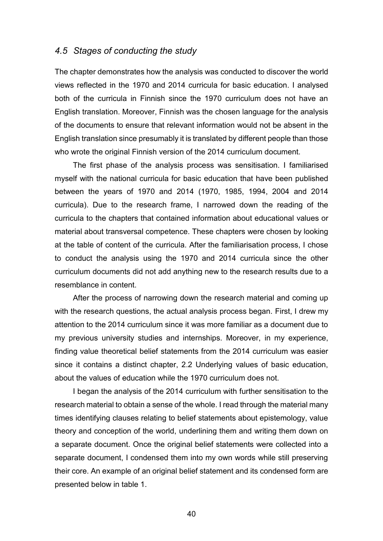## *4.5 Stages of conducting the study*

The chapter demonstrates how the analysis was conducted to discover the world views reflected in the 1970 and 2014 curricula for basic education. I analysed both of the curricula in Finnish since the 1970 curriculum does not have an English translation. Moreover, Finnish was the chosen language for the analysis of the documents to ensure that relevant information would not be absent in the English translation since presumably it is translated by different people than those who wrote the original Finnish version of the 2014 curriculum document.

The first phase of the analysis process was sensitisation. I familiarised myself with the national curricula for basic education that have been published between the years of 1970 and 2014 (1970, 1985, 1994, 2004 and 2014 curricula). Due to the research frame, I narrowed down the reading of the curricula to the chapters that contained information about educational values or material about transversal competence. These chapters were chosen by looking at the table of content of the curricula. After the familiarisation process, I chose to conduct the analysis using the 1970 and 2014 curricula since the other curriculum documents did not add anything new to the research results due to a resemblance in content.

After the process of narrowing down the research material and coming up with the research questions, the actual analysis process began. First, I drew my attention to the 2014 curriculum since it was more familiar as a document due to my previous university studies and internships. Moreover, in my experience, finding value theoretical belief statements from the 2014 curriculum was easier since it contains a distinct chapter, 2.2 Underlying values of basic education, about the values of education while the 1970 curriculum does not.

I began the analysis of the 2014 curriculum with further sensitisation to the research material to obtain a sense of the whole. I read through the material many times identifying clauses relating to belief statements about epistemology, value theory and conception of the world, underlining them and writing them down on a separate document. Once the original belief statements were collected into a separate document, I condensed them into my own words while still preserving their core. An example of an original belief statement and its condensed form are presented below in table 1.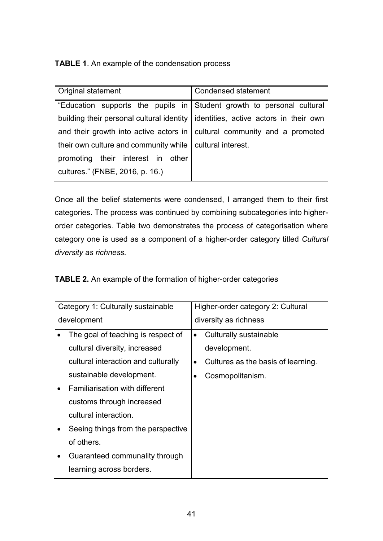**TABLE 1**. An example of the condensation process

| Original statement                                                       | <b>Condensed statement</b>             |
|--------------------------------------------------------------------------|----------------------------------------|
| "Education supports the pupils in Student growth to personal cultural    |                                        |
| building their personal cultural identity                                | identities, active actors in their own |
| and their growth into active actors in cultural community and a promoted |                                        |
| their own culture and community while                                    | cultural interest.                     |
| promoting their interest in other                                        |                                        |
| cultures." (FNBE, 2016, p. 16.)                                          |                                        |

Once all the belief statements were condensed, I arranged them to their first categories. The process was continued by combining subcategories into higherorder categories. Table two demonstrates the process of categorisation where category one is used as a component of a higher-order category titled *Cultural diversity as richness.*

**TABLE 2.** An example of the formation of higher-order categories

| Category 1: Culturally sustainable  | Higher-order category 2: Cultural  |
|-------------------------------------|------------------------------------|
| development                         | diversity as richness              |
| The goal of teaching is respect of  | Culturally sustainable             |
| cultural diversity, increased       | development.                       |
| cultural interaction and culturally | Cultures as the basis of learning. |
| sustainable development.            | Cosmopolitanism.                   |
| Familiarisation with different      |                                    |
| customs through increased           |                                    |
| cultural interaction.               |                                    |
| Seeing things from the perspective  |                                    |
| of others.                          |                                    |
| Guaranteed communality through      |                                    |
| learning across borders.            |                                    |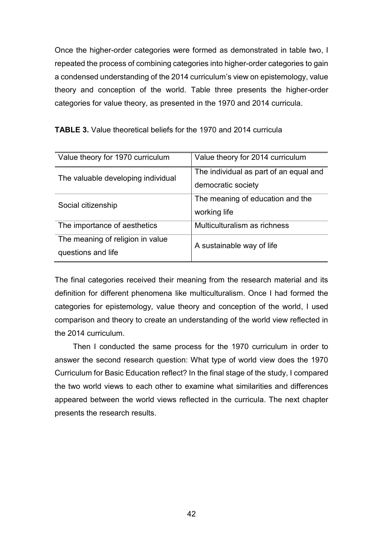Once the higher-order categories were formed as demonstrated in table two, I repeated the process of combining categories into higher-order categories to gain a condensed understanding of the 2014 curriculum's view on epistemology, value theory and conception of the world. Table three presents the higher-order categories for value theory, as presented in the 1970 and 2014 curricula.

| Value theory for 1970 curriculum                       | Value theory for 2014 curriculum                             |
|--------------------------------------------------------|--------------------------------------------------------------|
| The valuable developing individual                     | The individual as part of an equal and<br>democratic society |
| Social citizenship                                     | The meaning of education and the<br>working life             |
| The importance of aesthetics                           | Multiculturalism as richness                                 |
| The meaning of religion in value<br>questions and life | A sustainable way of life                                    |

**TABLE 3.** Value theoretical beliefs for the 1970 and 2014 curricula

The final categories received their meaning from the research material and its definition for different phenomena like multiculturalism. Once I had formed the categories for epistemology, value theory and conception of the world, I used comparison and theory to create an understanding of the world view reflected in the 2014 curriculum.

Then I conducted the same process for the 1970 curriculum in order to answer the second research question: What type of world view does the 1970 Curriculum for Basic Education reflect? In the final stage of the study, I compared the two world views to each other to examine what similarities and differences appeared between the world views reflected in the curricula. The next chapter presents the research results.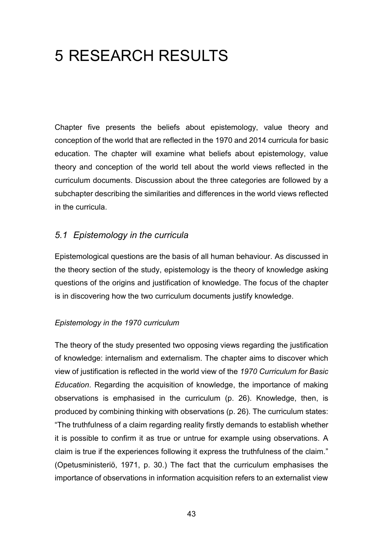# 5 RESEARCH RESULTS

Chapter five presents the beliefs about epistemology, value theory and conception of the world that are reflected in the 1970 and 2014 curricula for basic education. The chapter will examine what beliefs about epistemology, value theory and conception of the world tell about the world views reflected in the curriculum documents. Discussion about the three categories are followed by a subchapter describing the similarities and differences in the world views reflected in the curricula.

## *5.1 Epistemology in the curricula*

Epistemological questions are the basis of all human behaviour. As discussed in the theory section of the study, epistemology is the theory of knowledge asking questions of the origins and justification of knowledge. The focus of the chapter is in discovering how the two curriculum documents justify knowledge.

## *Epistemology in the 1970 curriculum*

The theory of the study presented two opposing views regarding the justification of knowledge: internalism and externalism. The chapter aims to discover which view of justification is reflected in the world view of the *1970 Curriculum for Basic Education*. Regarding the acquisition of knowledge, the importance of making observations is emphasised in the curriculum (p. 26). Knowledge, then, is produced by combining thinking with observations (p. 26). The curriculum states: "The truthfulness of a claim regarding reality firstly demands to establish whether it is possible to confirm it as true or untrue for example using observations. A claim is true if the experiences following it express the truthfulness of the claim." (Opetusministeriö, 1971, p. 30.) The fact that the curriculum emphasises the importance of observations in information acquisition refers to an externalist view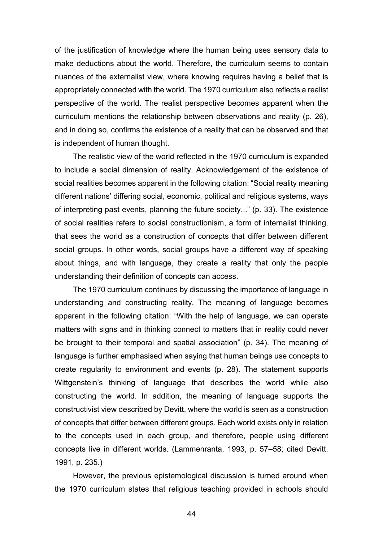of the justification of knowledge where the human being uses sensory data to make deductions about the world. Therefore, the curriculum seems to contain nuances of the externalist view, where knowing requires having a belief that is appropriately connected with the world. The 1970 curriculum also reflects a realist perspective of the world. The realist perspective becomes apparent when the curriculum mentions the relationship between observations and reality (p. 26), and in doing so, confirms the existence of a reality that can be observed and that is independent of human thought.

The realistic view of the world reflected in the 1970 curriculum is expanded to include a social dimension of reality. Acknowledgement of the existence of social realities becomes apparent in the following citation: "Social reality meaning different nations' differing social, economic, political and religious systems, ways of interpreting past events, planning the future society..." (p. 33). The existence of social realities refers to social constructionism, a form of internalist thinking, that sees the world as a construction of concepts that differ between different social groups. In other words, social groups have a different way of speaking about things, and with language, they create a reality that only the people understanding their definition of concepts can access.

The 1970 curriculum continues by discussing the importance of language in understanding and constructing reality. The meaning of language becomes apparent in the following citation: "With the help of language, we can operate matters with signs and in thinking connect to matters that in reality could never be brought to their temporal and spatial association" (p. 34). The meaning of language is further emphasised when saying that human beings use concepts to create regularity to environment and events (p. 28). The statement supports Wittgenstein's thinking of language that describes the world while also constructing the world. In addition, the meaning of language supports the constructivist view described by Devitt, where the world is seen as a construction of concepts that differ between different groups. Each world exists only in relation to the concepts used in each group, and therefore, people using different concepts live in different worlds. (Lammenranta, 1993, p. 57–58; cited Devitt, 1991, p. 235.)

However, the previous epistemological discussion is turned around when the 1970 curriculum states that religious teaching provided in schools should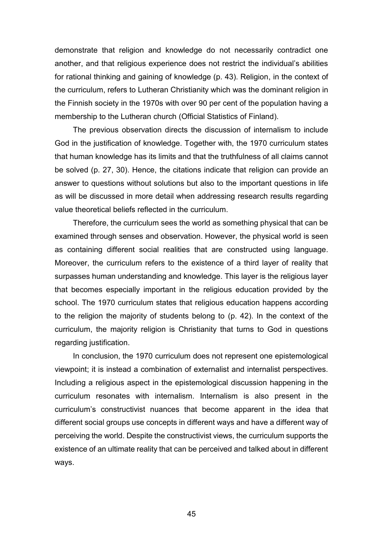demonstrate that religion and knowledge do not necessarily contradict one another, and that religious experience does not restrict the individual's abilities for rational thinking and gaining of knowledge (p. 43). Religion, in the context of the curriculum, refers to Lutheran Christianity which was the dominant religion in the Finnish society in the 1970s with over 90 per cent of the population having a membership to the Lutheran church (Official Statistics of Finland).

The previous observation directs the discussion of internalism to include God in the justification of knowledge. Together with, the 1970 curriculum states that human knowledge has its limits and that the truthfulness of all claims cannot be solved (p. 27, 30). Hence, the citations indicate that religion can provide an answer to questions without solutions but also to the important questions in life as will be discussed in more detail when addressing research results regarding value theoretical beliefs reflected in the curriculum.

Therefore, the curriculum sees the world as something physical that can be examined through senses and observation. However, the physical world is seen as containing different social realities that are constructed using language. Moreover, the curriculum refers to the existence of a third layer of reality that surpasses human understanding and knowledge. This layer is the religious layer that becomes especially important in the religious education provided by the school. The 1970 curriculum states that religious education happens according to the religion the majority of students belong to (p. 42). In the context of the curriculum, the majority religion is Christianity that turns to God in questions regarding justification.

In conclusion, the 1970 curriculum does not represent one epistemological viewpoint; it is instead a combination of externalist and internalist perspectives. Including a religious aspect in the epistemological discussion happening in the curriculum resonates with internalism. Internalism is also present in the curriculum's constructivist nuances that become apparent in the idea that different social groups use concepts in different ways and have a different way of perceiving the world. Despite the constructivist views, the curriculum supports the existence of an ultimate reality that can be perceived and talked about in different ways.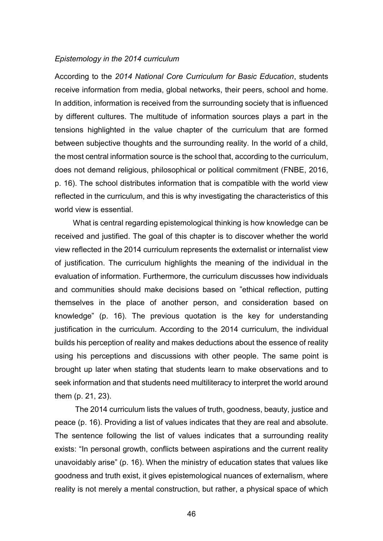#### *Epistemology in the 2014 curriculum*

According to the *2014 National Core Curriculum for Basic Education*, students receive information from media, global networks, their peers, school and home. In addition, information is received from the surrounding society that is influenced by different cultures. The multitude of information sources plays a part in the tensions highlighted in the value chapter of the curriculum that are formed between subjective thoughts and the surrounding reality. In the world of a child, the most central information source is the school that, according to the curriculum, does not demand religious, philosophical or political commitment (FNBE, 2016, p. 16). The school distributes information that is compatible with the world view reflected in the curriculum, and this is why investigating the characteristics of this world view is essential.

What is central regarding epistemological thinking is how knowledge can be received and justified. The goal of this chapter is to discover whether the world view reflected in the 2014 curriculum represents the externalist or internalist view of justification. The curriculum highlights the meaning of the individual in the evaluation of information. Furthermore, the curriculum discusses how individuals and communities should make decisions based on "ethical reflection, putting themselves in the place of another person, and consideration based on knowledge" (p. 16). The previous quotation is the key for understanding justification in the curriculum. According to the 2014 curriculum, the individual builds his perception of reality and makes deductions about the essence of reality using his perceptions and discussions with other people. The same point is brought up later when stating that students learn to make observations and to seek information and that students need multiliteracy to interpret the world around them (p. 21, 23).

The 2014 curriculum lists the values of truth, goodness, beauty, justice and peace (p. 16). Providing a list of values indicates that they are real and absolute. The sentence following the list of values indicates that a surrounding reality exists: "In personal growth, conflicts between aspirations and the current reality unavoidably arise" (p. 16). When the ministry of education states that values like goodness and truth exist, it gives epistemological nuances of externalism, where reality is not merely a mental construction, but rather, a physical space of which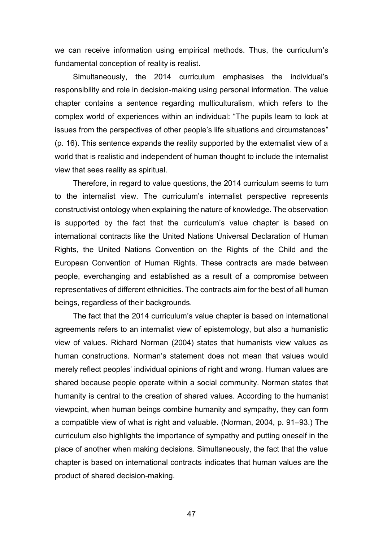we can receive information using empirical methods. Thus, the curriculum's fundamental conception of reality is realist.

Simultaneously, the 2014 curriculum emphasises the individual's responsibility and role in decision-making using personal information. The value chapter contains a sentence regarding multiculturalism, which refers to the complex world of experiences within an individual: "The pupils learn to look at issues from the perspectives of other people's life situations and circumstances" (p. 16). This sentence expands the reality supported by the externalist view of a world that is realistic and independent of human thought to include the internalist view that sees reality as spiritual.

Therefore, in regard to value questions, the 2014 curriculum seems to turn to the internalist view. The curriculum's internalist perspective represents constructivist ontology when explaining the nature of knowledge. The observation is supported by the fact that the curriculum's value chapter is based on international contracts like the United Nations Universal Declaration of Human Rights, the United Nations Convention on the Rights of the Child and the European Convention of Human Rights. These contracts are made between people, everchanging and established as a result of a compromise between representatives of different ethnicities. The contracts aim for the best of all human beings, regardless of their backgrounds.

The fact that the 2014 curriculum's value chapter is based on international agreements refers to an internalist view of epistemology, but also a humanistic view of values. Richard Norman (2004) states that humanists view values as human constructions. Norman's statement does not mean that values would merely reflect peoples' individual opinions of right and wrong. Human values are shared because people operate within a social community. Norman states that humanity is central to the creation of shared values. According to the humanist viewpoint, when human beings combine humanity and sympathy, they can form a compatible view of what is right and valuable. (Norman, 2004, p. 91–93.) The curriculum also highlights the importance of sympathy and putting oneself in the place of another when making decisions. Simultaneously, the fact that the value chapter is based on international contracts indicates that human values are the product of shared decision-making.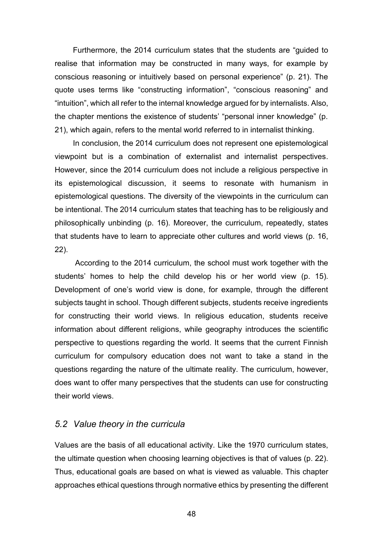Furthermore, the 2014 curriculum states that the students are "guided to realise that information may be constructed in many ways, for example by conscious reasoning or intuitively based on personal experience" (p. 21). The quote uses terms like "constructing information", "conscious reasoning" and "intuition", which all refer to the internal knowledge argued for by internalists. Also, the chapter mentions the existence of students' "personal inner knowledge" (p. 21), which again, refers to the mental world referred to in internalist thinking.

In conclusion, the 2014 curriculum does not represent one epistemological viewpoint but is a combination of externalist and internalist perspectives. However, since the 2014 curriculum does not include a religious perspective in its epistemological discussion, it seems to resonate with humanism in epistemological questions. The diversity of the viewpoints in the curriculum can be intentional. The 2014 curriculum states that teaching has to be religiously and philosophically unbinding (p. 16). Moreover, the curriculum, repeatedly, states that students have to learn to appreciate other cultures and world views (p. 16, 22).

According to the 2014 curriculum, the school must work together with the students' homes to help the child develop his or her world view (p. 15). Development of one's world view is done, for example, through the different subjects taught in school. Though different subjects, students receive ingredients for constructing their world views. In religious education, students receive information about different religions, while geography introduces the scientific perspective to questions regarding the world. It seems that the current Finnish curriculum for compulsory education does not want to take a stand in the questions regarding the nature of the ultimate reality. The curriculum, however, does want to offer many perspectives that the students can use for constructing their world views.

## *5.2 Value theory in the curricula*

Values are the basis of all educational activity. Like the 1970 curriculum states, the ultimate question when choosing learning objectives is that of values (p. 22). Thus, educational goals are based on what is viewed as valuable. This chapter approaches ethical questions through normative ethics by presenting the different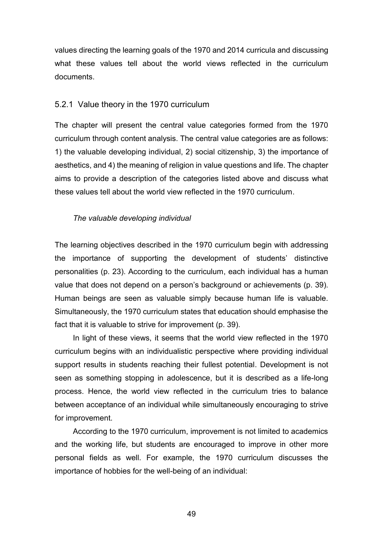values directing the learning goals of the 1970 and 2014 curricula and discussing what these values tell about the world views reflected in the curriculum documents.

#### 5.2.1 Value theory in the 1970 curriculum

The chapter will present the central value categories formed from the 1970 curriculum through content analysis. The central value categories are as follows: 1) the valuable developing individual, 2) social citizenship, 3) the importance of aesthetics, and 4) the meaning of religion in value questions and life. The chapter aims to provide a description of the categories listed above and discuss what these values tell about the world view reflected in the 1970 curriculum.

#### *The valuable developing individual*

The learning objectives described in the 1970 curriculum begin with addressing the importance of supporting the development of students' distinctive personalities (p. 23). According to the curriculum, each individual has a human value that does not depend on a person's background or achievements (p. 39). Human beings are seen as valuable simply because human life is valuable. Simultaneously, the 1970 curriculum states that education should emphasise the fact that it is valuable to strive for improvement (p. 39).

In light of these views, it seems that the world view reflected in the 1970 curriculum begins with an individualistic perspective where providing individual support results in students reaching their fullest potential. Development is not seen as something stopping in adolescence, but it is described as a life-long process. Hence, the world view reflected in the curriculum tries to balance between acceptance of an individual while simultaneously encouraging to strive for improvement.

According to the 1970 curriculum, improvement is not limited to academics and the working life, but students are encouraged to improve in other more personal fields as well. For example, the 1970 curriculum discusses the importance of hobbies for the well-being of an individual: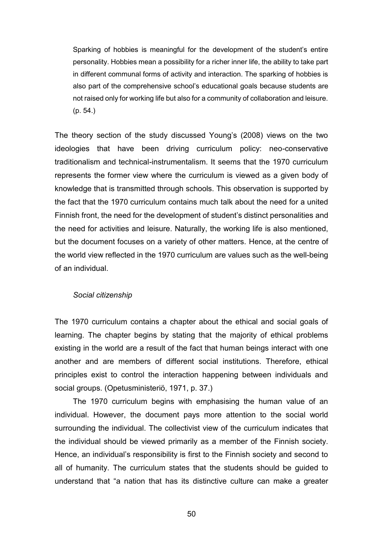Sparking of hobbies is meaningful for the development of the student's entire personality. Hobbies mean a possibility for a richer inner life, the ability to take part in different communal forms of activity and interaction. The sparking of hobbies is also part of the comprehensive school's educational goals because students are not raised only for working life but also for a community of collaboration and leisure. (p. 54.)

The theory section of the study discussed Young's (2008) views on the two ideologies that have been driving curriculum policy: neo-conservative traditionalism and technical-instrumentalism. It seems that the 1970 curriculum represents the former view where the curriculum is viewed as a given body of knowledge that is transmitted through schools. This observation is supported by the fact that the 1970 curriculum contains much talk about the need for a united Finnish front, the need for the development of student's distinct personalities and the need for activities and leisure. Naturally, the working life is also mentioned, but the document focuses on a variety of other matters. Hence, at the centre of the world view reflected in the 1970 curriculum are values such as the well-being of an individual.

#### *Social citizenship*

The 1970 curriculum contains a chapter about the ethical and social goals of learning. The chapter begins by stating that the majority of ethical problems existing in the world are a result of the fact that human beings interact with one another and are members of different social institutions. Therefore, ethical principles exist to control the interaction happening between individuals and social groups. (Opetusministeriö, 1971, p. 37.)

The 1970 curriculum begins with emphasising the human value of an individual. However, the document pays more attention to the social world surrounding the individual. The collectivist view of the curriculum indicates that the individual should be viewed primarily as a member of the Finnish society. Hence, an individual's responsibility is first to the Finnish society and second to all of humanity. The curriculum states that the students should be guided to understand that "a nation that has its distinctive culture can make a greater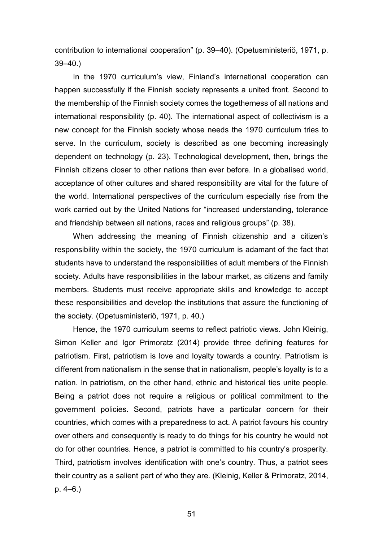contribution to international cooperation" (p. 39–40). (Opetusministeriö, 1971, p. 39–40.)

In the 1970 curriculum's view, Finland's international cooperation can happen successfully if the Finnish society represents a united front. Second to the membership of the Finnish society comes the togetherness of all nations and international responsibility (p. 40). The international aspect of collectivism is a new concept for the Finnish society whose needs the 1970 curriculum tries to serve. In the curriculum, society is described as one becoming increasingly dependent on technology (p. 23). Technological development, then, brings the Finnish citizens closer to other nations than ever before. In a globalised world, acceptance of other cultures and shared responsibility are vital for the future of the world. International perspectives of the curriculum especially rise from the work carried out by the United Nations for "increased understanding, tolerance and friendship between all nations, races and religious groups" (p. 38).

When addressing the meaning of Finnish citizenship and a citizen's responsibility within the society, the 1970 curriculum is adamant of the fact that students have to understand the responsibilities of adult members of the Finnish society. Adults have responsibilities in the labour market, as citizens and family members. Students must receive appropriate skills and knowledge to accept these responsibilities and develop the institutions that assure the functioning of the society. (Opetusministeriö, 1971, p. 40.)

Hence, the 1970 curriculum seems to reflect patriotic views. John Kleinig, Simon Keller and Igor Primoratz (2014) provide three defining features for patriotism. First, patriotism is love and loyalty towards a country. Patriotism is different from nationalism in the sense that in nationalism, people's loyalty is to a nation. In patriotism, on the other hand, ethnic and historical ties unite people. Being a patriot does not require a religious or political commitment to the government policies. Second, patriots have a particular concern for their countries, which comes with a preparedness to act. A patriot favours his country over others and consequently is ready to do things for his country he would not do for other countries. Hence, a patriot is committed to his country's prosperity. Third, patriotism involves identification with one's country. Thus, a patriot sees their country as a salient part of who they are. (Kleinig, Keller & Primoratz, 2014, p. 4–6.)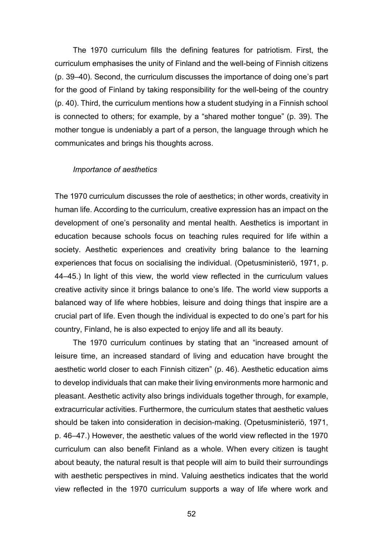The 1970 curriculum fills the defining features for patriotism. First, the curriculum emphasises the unity of Finland and the well-being of Finnish citizens (p. 39–40). Second, the curriculum discusses the importance of doing one's part for the good of Finland by taking responsibility for the well-being of the country (p. 40). Third, the curriculum mentions how a student studying in a Finnish school is connected to others; for example, by a "shared mother tongue" (p. 39). The mother tongue is undeniably a part of a person, the language through which he communicates and brings his thoughts across.

#### *Importance of aesthetics*

The 1970 curriculum discusses the role of aesthetics; in other words, creativity in human life. According to the curriculum, creative expression has an impact on the development of one's personality and mental health. Aesthetics is important in education because schools focus on teaching rules required for life within a society. Aesthetic experiences and creativity bring balance to the learning experiences that focus on socialising the individual. (Opetusministeriö, 1971, p. 44–45.) In light of this view, the world view reflected in the curriculum values creative activity since it brings balance to one's life. The world view supports a balanced way of life where hobbies, leisure and doing things that inspire are a crucial part of life. Even though the individual is expected to do one's part for his country, Finland, he is also expected to enjoy life and all its beauty.

The 1970 curriculum continues by stating that an "increased amount of leisure time, an increased standard of living and education have brought the aesthetic world closer to each Finnish citizen" (p. 46). Aesthetic education aims to develop individuals that can make their living environments more harmonic and pleasant. Aesthetic activity also brings individuals together through, for example, extracurricular activities. Furthermore, the curriculum states that aesthetic values should be taken into consideration in decision-making. (Opetusministeriö, 1971, p. 46–47.) However, the aesthetic values of the world view reflected in the 1970 curriculum can also benefit Finland as a whole. When every citizen is taught about beauty, the natural result is that people will aim to build their surroundings with aesthetic perspectives in mind. Valuing aesthetics indicates that the world view reflected in the 1970 curriculum supports a way of life where work and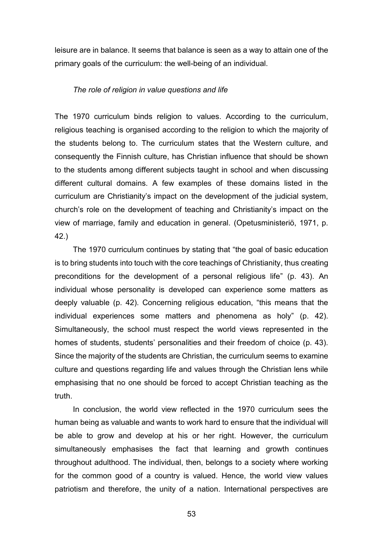leisure are in balance. It seems that balance is seen as a way to attain one of the primary goals of the curriculum: the well-being of an individual.

#### *The role of religion in value questions and life*

The 1970 curriculum binds religion to values. According to the curriculum, religious teaching is organised according to the religion to which the majority of the students belong to. The curriculum states that the Western culture, and consequently the Finnish culture, has Christian influence that should be shown to the students among different subjects taught in school and when discussing different cultural domains. A few examples of these domains listed in the curriculum are Christianity's impact on the development of the judicial system, church's role on the development of teaching and Christianity's impact on the view of marriage, family and education in general. (Opetusministeriö, 1971, p. 42.)

The 1970 curriculum continues by stating that "the goal of basic education is to bring students into touch with the core teachings of Christianity, thus creating preconditions for the development of a personal religious life" (p. 43). An individual whose personality is developed can experience some matters as deeply valuable (p. 42). Concerning religious education, "this means that the individual experiences some matters and phenomena as holy" (p. 42). Simultaneously, the school must respect the world views represented in the homes of students, students' personalities and their freedom of choice (p. 43). Since the majority of the students are Christian, the curriculum seems to examine culture and questions regarding life and values through the Christian lens while emphasising that no one should be forced to accept Christian teaching as the truth.

In conclusion, the world view reflected in the 1970 curriculum sees the human being as valuable and wants to work hard to ensure that the individual will be able to grow and develop at his or her right. However, the curriculum simultaneously emphasises the fact that learning and growth continues throughout adulthood. The individual, then, belongs to a society where working for the common good of a country is valued. Hence, the world view values patriotism and therefore, the unity of a nation. International perspectives are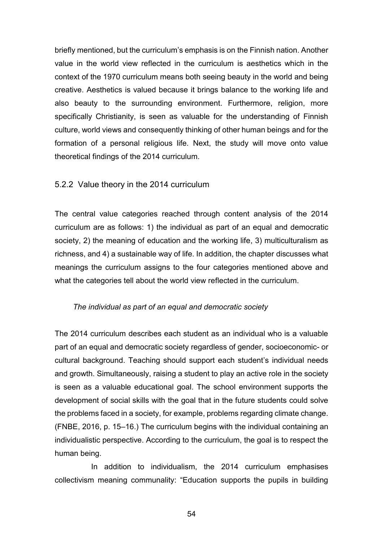briefly mentioned, but the curriculum's emphasis is on the Finnish nation. Another value in the world view reflected in the curriculum is aesthetics which in the context of the 1970 curriculum means both seeing beauty in the world and being creative. Aesthetics is valued because it brings balance to the working life and also beauty to the surrounding environment. Furthermore, religion, more specifically Christianity, is seen as valuable for the understanding of Finnish culture, world views and consequently thinking of other human beings and for the formation of a personal religious life. Next, the study will move onto value theoretical findings of the 2014 curriculum.

### 5.2.2 Value theory in the 2014 curriculum

The central value categories reached through content analysis of the 2014 curriculum are as follows: 1) the individual as part of an equal and democratic society, 2) the meaning of education and the working life, 3) multiculturalism as richness, and 4) a sustainable way of life. In addition, the chapter discusses what meanings the curriculum assigns to the four categories mentioned above and what the categories tell about the world view reflected in the curriculum.

#### *The individual as part of an equal and democratic society*

The 2014 curriculum describes each student as an individual who is a valuable part of an equal and democratic society regardless of gender, socioeconomic- or cultural background. Teaching should support each student's individual needs and growth. Simultaneously, raising a student to play an active role in the society is seen as a valuable educational goal. The school environment supports the development of social skills with the goal that in the future students could solve the problems faced in a society, for example, problems regarding climate change. (FNBE, 2016, p. 15–16.) The curriculum begins with the individual containing an individualistic perspective. According to the curriculum, the goal is to respect the human being.

In addition to individualism, the 2014 curriculum emphasises collectivism meaning communality: "Education supports the pupils in building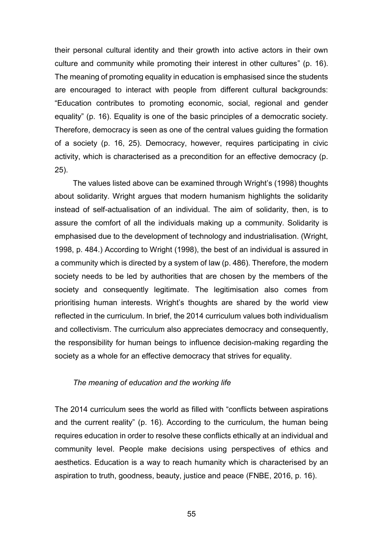their personal cultural identity and their growth into active actors in their own culture and community while promoting their interest in other cultures" (p. 16). The meaning of promoting equality in education is emphasised since the students are encouraged to interact with people from different cultural backgrounds: "Education contributes to promoting economic, social, regional and gender equality" (p. 16). Equality is one of the basic principles of a democratic society. Therefore, democracy is seen as one of the central values guiding the formation of a society (p. 16, 25). Democracy, however, requires participating in civic activity, which is characterised as a precondition for an effective democracy (p. 25).

The values listed above can be examined through Wright's (1998) thoughts about solidarity. Wright argues that modern humanism highlights the solidarity instead of self-actualisation of an individual. The aim of solidarity, then, is to assure the comfort of all the individuals making up a community. Solidarity is emphasised due to the development of technology and industrialisation. (Wright, 1998, p. 484.) According to Wright (1998), the best of an individual is assured in a community which is directed by a system of law (p. 486). Therefore, the modern society needs to be led by authorities that are chosen by the members of the society and consequently legitimate. The legitimisation also comes from prioritising human interests. Wright's thoughts are shared by the world view reflected in the curriculum. In brief, the 2014 curriculum values both individualism and collectivism. The curriculum also appreciates democracy and consequently, the responsibility for human beings to influence decision-making regarding the society as a whole for an effective democracy that strives for equality.

#### *The meaning of education and the working life*

The 2014 curriculum sees the world as filled with "conflicts between aspirations and the current reality" (p. 16). According to the curriculum, the human being requires education in order to resolve these conflicts ethically at an individual and community level. People make decisions using perspectives of ethics and aesthetics. Education is a way to reach humanity which is characterised by an aspiration to truth, goodness, beauty, justice and peace (FNBE, 2016, p. 16).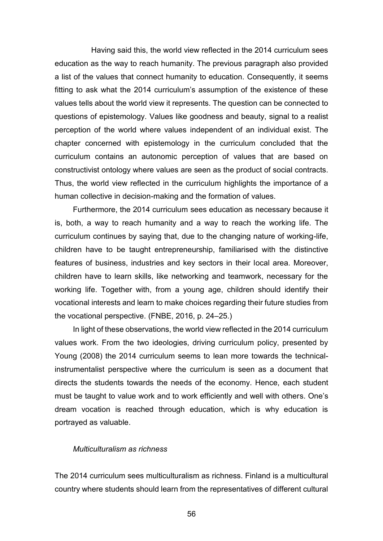Having said this, the world view reflected in the 2014 curriculum sees education as the way to reach humanity. The previous paragraph also provided a list of the values that connect humanity to education. Consequently, it seems fitting to ask what the 2014 curriculum's assumption of the existence of these values tells about the world view it represents. The question can be connected to questions of epistemology. Values like goodness and beauty, signal to a realist perception of the world where values independent of an individual exist. The chapter concerned with epistemology in the curriculum concluded that the curriculum contains an autonomic perception of values that are based on constructivist ontology where values are seen as the product of social contracts. Thus, the world view reflected in the curriculum highlights the importance of a human collective in decision-making and the formation of values.

Furthermore, the 2014 curriculum sees education as necessary because it is, both, a way to reach humanity and a way to reach the working life. The curriculum continues by saying that, due to the changing nature of working-life, children have to be taught entrepreneurship, familiarised with the distinctive features of business, industries and key sectors in their local area. Moreover, children have to learn skills, like networking and teamwork, necessary for the working life. Together with, from a young age, children should identify their vocational interests and learn to make choices regarding their future studies from the vocational perspective. (FNBE, 2016, p. 24–25.)

In light of these observations, the world view reflected in the 2014 curriculum values work. From the two ideologies, driving curriculum policy, presented by Young (2008) the 2014 curriculum seems to lean more towards the technicalinstrumentalist perspective where the curriculum is seen as a document that directs the students towards the needs of the economy. Hence, each student must be taught to value work and to work efficiently and well with others. One's dream vocation is reached through education, which is why education is portrayed as valuable.

#### *Multiculturalism as richness*

The 2014 curriculum sees multiculturalism as richness. Finland is a multicultural country where students should learn from the representatives of different cultural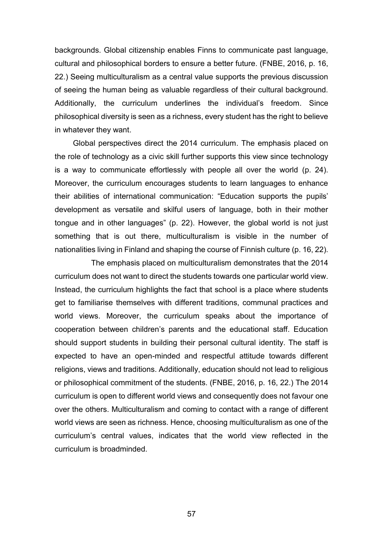backgrounds. Global citizenship enables Finns to communicate past language, cultural and philosophical borders to ensure a better future. (FNBE, 2016, p. 16, 22.) Seeing multiculturalism as a central value supports the previous discussion of seeing the human being as valuable regardless of their cultural background. Additionally, the curriculum underlines the individual's freedom. Since philosophical diversity is seen as a richness, every student has the right to believe in whatever they want.

Global perspectives direct the 2014 curriculum. The emphasis placed on the role of technology as a civic skill further supports this view since technology is a way to communicate effortlessly with people all over the world (p. 24). Moreover, the curriculum encourages students to learn languages to enhance their abilities of international communication: "Education supports the pupils' development as versatile and skilful users of language, both in their mother tongue and in other languages" (p. 22). However, the global world is not just something that is out there, multiculturalism is visible in the number of nationalities living in Finland and shaping the course of Finnish culture (p. 16, 22).

The emphasis placed on multiculturalism demonstrates that the 2014 curriculum does not want to direct the students towards one particular world view. Instead, the curriculum highlights the fact that school is a place where students get to familiarise themselves with different traditions, communal practices and world views. Moreover, the curriculum speaks about the importance of cooperation between children's parents and the educational staff. Education should support students in building their personal cultural identity. The staff is expected to have an open-minded and respectful attitude towards different religions, views and traditions. Additionally, education should not lead to religious or philosophical commitment of the students. (FNBE, 2016, p. 16, 22.) The 2014 curriculum is open to different world views and consequently does not favour one over the others. Multiculturalism and coming to contact with a range of different world views are seen as richness. Hence, choosing multiculturalism as one of the curriculum's central values, indicates that the world view reflected in the curriculum is broadminded.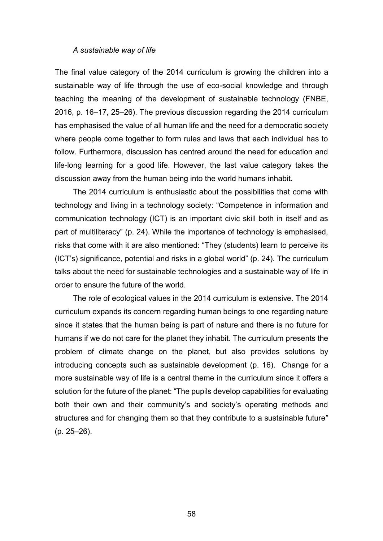#### *A sustainable way of life*

The final value category of the 2014 curriculum is growing the children into a sustainable way of life through the use of eco-social knowledge and through teaching the meaning of the development of sustainable technology (FNBE, 2016, p. 16–17, 25–26). The previous discussion regarding the 2014 curriculum has emphasised the value of all human life and the need for a democratic society where people come together to form rules and laws that each individual has to follow. Furthermore, discussion has centred around the need for education and life-long learning for a good life. However, the last value category takes the discussion away from the human being into the world humans inhabit.

The 2014 curriculum is enthusiastic about the possibilities that come with technology and living in a technology society: "Competence in information and communication technology (ICT) is an important civic skill both in itself and as part of multiliteracy" (p. 24). While the importance of technology is emphasised, risks that come with it are also mentioned: "They (students) learn to perceive its (ICT's) significance, potential and risks in a global world" (p. 24). The curriculum talks about the need for sustainable technologies and a sustainable way of life in order to ensure the future of the world.

The role of ecological values in the 2014 curriculum is extensive. The 2014 curriculum expands its concern regarding human beings to one regarding nature since it states that the human being is part of nature and there is no future for humans if we do not care for the planet they inhabit. The curriculum presents the problem of climate change on the planet, but also provides solutions by introducing concepts such as sustainable development (p. 16). Change for a more sustainable way of life is a central theme in the curriculum since it offers a solution for the future of the planet: "The pupils develop capabilities for evaluating both their own and their community's and society's operating methods and structures and for changing them so that they contribute to a sustainable future" (p. 25–26).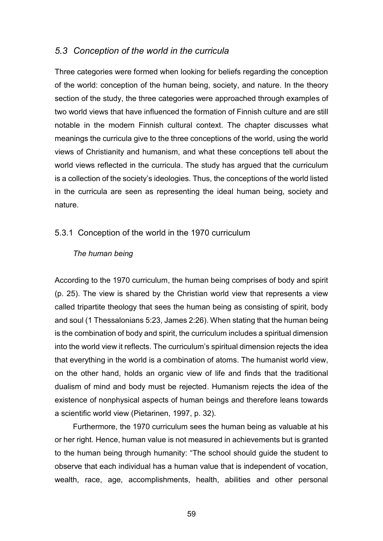## *5.3 Conception of the world in the curricula*

Three categories were formed when looking for beliefs regarding the conception of the world: conception of the human being, society, and nature. In the theory section of the study, the three categories were approached through examples of two world views that have influenced the formation of Finnish culture and are still notable in the modern Finnish cultural context. The chapter discusses what meanings the curricula give to the three conceptions of the world, using the world views of Christianity and humanism, and what these conceptions tell about the world views reflected in the curricula. The study has argued that the curriculum is a collection of the society's ideologies. Thus, the conceptions of the world listed in the curricula are seen as representing the ideal human being, society and nature.

#### 5.3.1 Conception of the world in the 1970 curriculum

#### *The human being*

According to the 1970 curriculum, the human being comprises of body and spirit (p. 25). The view is shared by the Christian world view that represents a view called tripartite theology that sees the human being as consisting of spirit, body and soul (1 Thessalonians 5:23, James 2:26). When stating that the human being is the combination of body and spirit, the curriculum includes a spiritual dimension into the world view it reflects. The curriculum's spiritual dimension rejects the idea that everything in the world is a combination of atoms. The humanist world view, on the other hand, holds an organic view of life and finds that the traditional dualism of mind and body must be rejected. Humanism rejects the idea of the existence of nonphysical aspects of human beings and therefore leans towards a scientific world view (Pietarinen, 1997, p. 32).

Furthermore, the 1970 curriculum sees the human being as valuable at his or her right. Hence, human value is not measured in achievements but is granted to the human being through humanity: "The school should guide the student to observe that each individual has a human value that is independent of vocation, wealth, race, age, accomplishments, health, abilities and other personal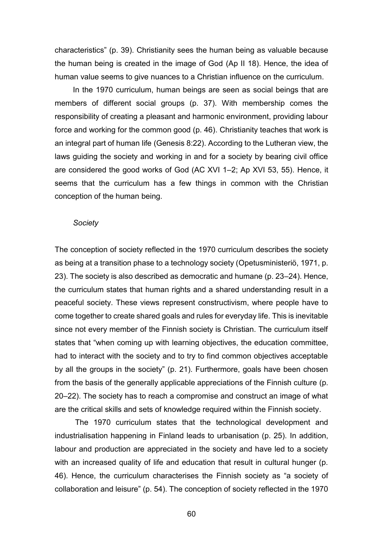characteristics" (p. 39). Christianity sees the human being as valuable because the human being is created in the image of God (Ap II 18). Hence, the idea of human value seems to give nuances to a Christian influence on the curriculum.

In the 1970 curriculum, human beings are seen as social beings that are members of different social groups (p. 37). With membership comes the responsibility of creating a pleasant and harmonic environment, providing labour force and working for the common good (p. 46). Christianity teaches that work is an integral part of human life (Genesis 8:22). According to the Lutheran view, the laws guiding the society and working in and for a society by bearing civil office are considered the good works of God (AC XVI 1–2; Ap XVI 53, 55). Hence, it seems that the curriculum has a few things in common with the Christian conception of the human being.

#### *Society*

The conception of society reflected in the 1970 curriculum describes the society as being at a transition phase to a technology society (Opetusministeriö, 1971, p. 23). The society is also described as democratic and humane (p. 23–24). Hence, the curriculum states that human rights and a shared understanding result in a peaceful society. These views represent constructivism, where people have to come together to create shared goals and rules for everyday life. This is inevitable since not every member of the Finnish society is Christian. The curriculum itself states that "when coming up with learning objectives, the education committee, had to interact with the society and to try to find common objectives acceptable by all the groups in the society" (p. 21). Furthermore, goals have been chosen from the basis of the generally applicable appreciations of the Finnish culture (p. 20–22). The society has to reach a compromise and construct an image of what are the critical skills and sets of knowledge required within the Finnish society.

The 1970 curriculum states that the technological development and industrialisation happening in Finland leads to urbanisation (p. 25). In addition, labour and production are appreciated in the society and have led to a society with an increased quality of life and education that result in cultural hunger (p. 46). Hence, the curriculum characterises the Finnish society as "a society of collaboration and leisure" (p. 54). The conception of society reflected in the 1970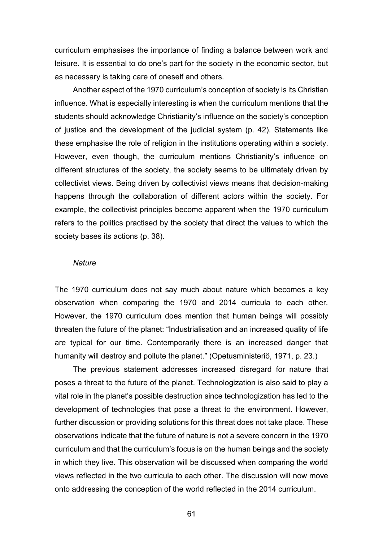curriculum emphasises the importance of finding a balance between work and leisure. It is essential to do one's part for the society in the economic sector, but as necessary is taking care of oneself and others.

Another aspect of the 1970 curriculum's conception of society is its Christian influence. What is especially interesting is when the curriculum mentions that the students should acknowledge Christianity's influence on the society's conception of justice and the development of the judicial system (p. 42). Statements like these emphasise the role of religion in the institutions operating within a society. However, even though, the curriculum mentions Christianity's influence on different structures of the society, the society seems to be ultimately driven by collectivist views. Being driven by collectivist views means that decision-making happens through the collaboration of different actors within the society. For example, the collectivist principles become apparent when the 1970 curriculum refers to the politics practised by the society that direct the values to which the society bases its actions (p. 38).

#### *Nature*

The 1970 curriculum does not say much about nature which becomes a key observation when comparing the 1970 and 2014 curricula to each other. However, the 1970 curriculum does mention that human beings will possibly threaten the future of the planet: "Industrialisation and an increased quality of life are typical for our time. Contemporarily there is an increased danger that humanity will destroy and pollute the planet." (Opetusministeriö, 1971, p. 23.)

The previous statement addresses increased disregard for nature that poses a threat to the future of the planet. Technologization is also said to play a vital role in the planet's possible destruction since technologization has led to the development of technologies that pose a threat to the environment. However, further discussion or providing solutions for this threat does not take place. These observations indicate that the future of nature is not a severe concern in the 1970 curriculum and that the curriculum's focus is on the human beings and the society in which they live. This observation will be discussed when comparing the world views reflected in the two curricula to each other. The discussion will now move onto addressing the conception of the world reflected in the 2014 curriculum.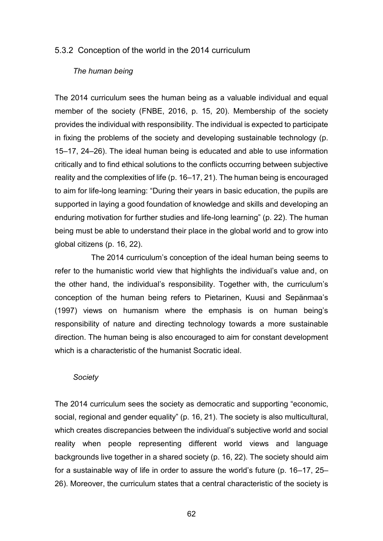#### 5.3.2 Conception of the world in the 2014 curriculum

#### *The human being*

The 2014 curriculum sees the human being as a valuable individual and equal member of the society (FNBE, 2016, p. 15, 20). Membership of the society provides the individual with responsibility. The individual is expected to participate in fixing the problems of the society and developing sustainable technology (p. 15–17, 24–26). The ideal human being is educated and able to use information critically and to find ethical solutions to the conflicts occurring between subjective reality and the complexities of life (p. 16–17, 21). The human being is encouraged to aim for life-long learning: "During their years in basic education, the pupils are supported in laying a good foundation of knowledge and skills and developing an enduring motivation for further studies and life-long learning" (p. 22). The human being must be able to understand their place in the global world and to grow into global citizens (p. 16, 22).

The 2014 curriculum's conception of the ideal human being seems to refer to the humanistic world view that highlights the individual's value and, on the other hand, the individual's responsibility. Together with, the curriculum's conception of the human being refers to Pietarinen, Kuusi and Sepänmaa's (1997) views on humanism where the emphasis is on human being's responsibility of nature and directing technology towards a more sustainable direction. The human being is also encouraged to aim for constant development which is a characteristic of the humanist Socratic ideal.

#### *Society*

The 2014 curriculum sees the society as democratic and supporting "economic, social, regional and gender equality" (p. 16, 21). The society is also multicultural, which creates discrepancies between the individual's subjective world and social reality when people representing different world views and language backgrounds live together in a shared society (p. 16, 22). The society should aim for a sustainable way of life in order to assure the world's future (p. 16–17, 25– 26). Moreover, the curriculum states that a central characteristic of the society is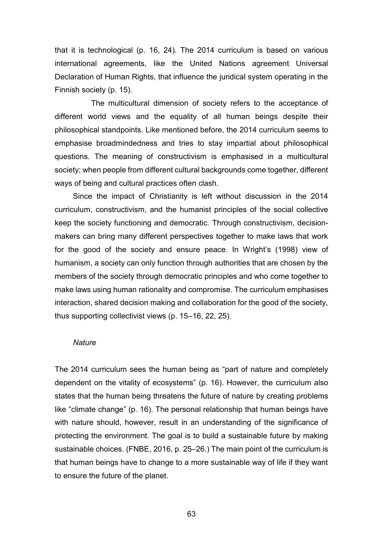that it is technological (p. 16, 24). The 2014 curriculum is based on various international agreements, like the United Nations agreement Universal Declaration of Human Rights, that influence the juridical system operating in the Finnish society (p. 15).

The multicultural dimension of society refers to the acceptance of different world views and the equality of all human beings despite their philosophical standpoints. Like mentioned before, the 2014 curriculum seems to emphasise broadmindedness and tries to stay impartial about philosophical questions. The meaning of constructivism is emphasised in a multicultural society; when people from different cultural backgrounds come together, different ways of being and cultural practices often clash.

Since the impact of Christianity is left without discussion in the 2014 curriculum, constructivism, and the humanist principles of the social collective keep the society functioning and democratic. Through constructivism, decisionmakers can bring many different perspectives together to make laws that work for the good of the society and ensure peace. In Wright's (1998) view of humanism, a society can only function through authorities that are chosen by the members of the society through democratic principles and who come together to make laws using human rationality and compromise. The curriculum emphasises interaction, shared decision making and collaboration for the good of the society, thus supporting collectivist views (p. 15–16, 22, 25).

#### *Nature*

The 2014 curriculum sees the human being as "part of nature and completely dependent on the vitality of ecosystems" (p. 16). However, the curriculum also states that the human being threatens the future of nature by creating problems like "climate change" (p. 16). The personal relationship that human beings have with nature should, however, result in an understanding of the significance of protecting the environment. The goal is to build a sustainable future by making sustainable choices. (FNBE, 2016, p. 25–26.) The main point of the curriculum is that human beings have to change to a more sustainable way of life if they want to ensure the future of the planet.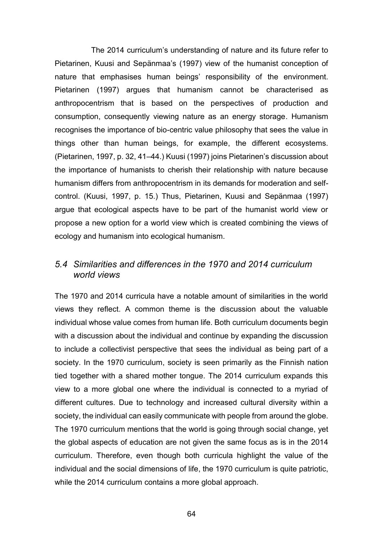The 2014 curriculum's understanding of nature and its future refer to Pietarinen, Kuusi and Sepänmaa's (1997) view of the humanist conception of nature that emphasises human beings' responsibility of the environment. Pietarinen (1997) argues that humanism cannot be characterised as anthropocentrism that is based on the perspectives of production and consumption, consequently viewing nature as an energy storage. Humanism recognises the importance of bio-centric value philosophy that sees the value in things other than human beings, for example, the different ecosystems. (Pietarinen, 1997, p. 32, 41–44.) Kuusi (1997) joins Pietarinen's discussion about the importance of humanists to cherish their relationship with nature because humanism differs from anthropocentrism in its demands for moderation and selfcontrol. (Kuusi, 1997, p. 15.) Thus, Pietarinen, Kuusi and Sepänmaa (1997) argue that ecological aspects have to be part of the humanist world view or propose a new option for a world view which is created combining the views of ecology and humanism into ecological humanism.

## *5.4 Similarities and differences in the 1970 and 2014 curriculum world views*

The 1970 and 2014 curricula have a notable amount of similarities in the world views they reflect. A common theme is the discussion about the valuable individual whose value comes from human life. Both curriculum documents begin with a discussion about the individual and continue by expanding the discussion to include a collectivist perspective that sees the individual as being part of a society. In the 1970 curriculum, society is seen primarily as the Finnish nation tied together with a shared mother tongue. The 2014 curriculum expands this view to a more global one where the individual is connected to a myriad of different cultures. Due to technology and increased cultural diversity within a society, the individual can easily communicate with people from around the globe. The 1970 curriculum mentions that the world is going through social change, yet the global aspects of education are not given the same focus as is in the 2014 curriculum. Therefore, even though both curricula highlight the value of the individual and the social dimensions of life, the 1970 curriculum is quite patriotic, while the 2014 curriculum contains a more global approach.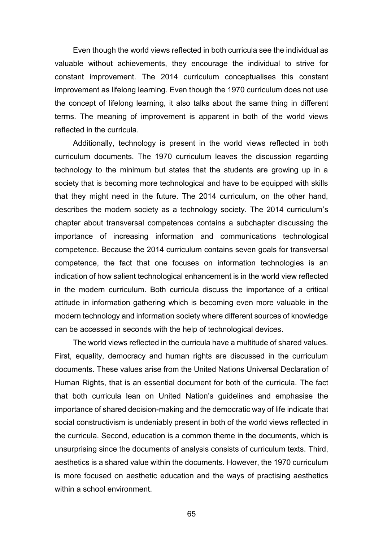Even though the world views reflected in both curricula see the individual as valuable without achievements, they encourage the individual to strive for constant improvement. The 2014 curriculum conceptualises this constant improvement as lifelong learning. Even though the 1970 curriculum does not use the concept of lifelong learning, it also talks about the same thing in different terms. The meaning of improvement is apparent in both of the world views reflected in the curricula.

Additionally, technology is present in the world views reflected in both curriculum documents. The 1970 curriculum leaves the discussion regarding technology to the minimum but states that the students are growing up in a society that is becoming more technological and have to be equipped with skills that they might need in the future. The 2014 curriculum, on the other hand, describes the modern society as a technology society. The 2014 curriculum's chapter about transversal competences contains a subchapter discussing the importance of increasing information and communications technological competence. Because the 2014 curriculum contains seven goals for transversal competence, the fact that one focuses on information technologies is an indication of how salient technological enhancement is in the world view reflected in the modern curriculum. Both curricula discuss the importance of a critical attitude in information gathering which is becoming even more valuable in the modern technology and information society where different sources of knowledge can be accessed in seconds with the help of technological devices.

The world views reflected in the curricula have a multitude of shared values. First, equality, democracy and human rights are discussed in the curriculum documents. These values arise from the United Nations Universal Declaration of Human Rights, that is an essential document for both of the curricula. The fact that both curricula lean on United Nation's guidelines and emphasise the importance of shared decision-making and the democratic way of life indicate that social constructivism is undeniably present in both of the world views reflected in the curricula. Second, education is a common theme in the documents, which is unsurprising since the documents of analysis consists of curriculum texts. Third, aesthetics is a shared value within the documents. However, the 1970 curriculum is more focused on aesthetic education and the ways of practising aesthetics within a school environment.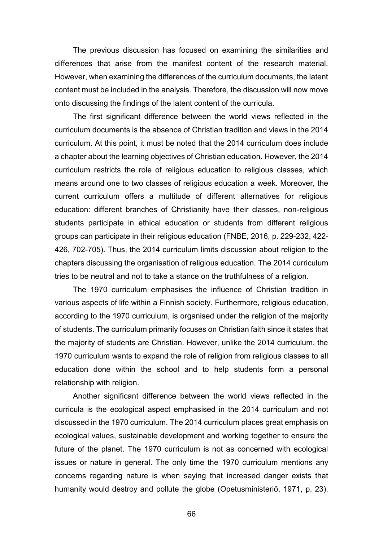The previous discussion has focused on examining the similarities and differences that arise from the manifest content of the research material. However, when examining the differences of the curriculum documents, the latent content must be included in the analysis. Therefore, the discussion will now move onto discussing the findings of the latent content of the curricula.

The first significant difference between the world views reflected in the curriculum documents is the absence of Christian tradition and views in the 2014 curriculum. At this point, it must be noted that the 2014 curriculum does include a chapter about the learning objectives of Christian education. However, the 2014 curriculum restricts the role of religious education to religious classes, which means around one to two classes of religious education a week. Moreover, the current curriculum offers a multitude of different alternatives for religious education: different branches of Christianity have their classes, non-religious students participate in ethical education or students from different religious groups can participate in their religious education (FNBE, 2016, p. 229-232, 422- 426, 702-705). Thus, the 2014 curriculum limits discussion about religion to the chapters discussing the organisation of religious education. The 2014 curriculum tries to be neutral and not to take a stance on the truthfulness of a religion.

The 1970 curriculum emphasises the influence of Christian tradition in various aspects of life within a Finnish society. Furthermore, religious education, according to the 1970 curriculum, is organised under the religion of the majority of students. The curriculum primarily focuses on Christian faith since it states that the majority of students are Christian. However, unlike the 2014 curriculum, the 1970 curriculum wants to expand the role of religion from religious classes to all education done within the school and to help students form a personal relationship with religion.

Another significant difference between the world views reflected in the curricula is the ecological aspect emphasised in the 2014 curriculum and not discussed in the 1970 curriculum. The 2014 curriculum places great emphasis on ecological values, sustainable development and working together to ensure the future of the planet. The 1970 curriculum is not as concerned with ecological issues or nature in general. The only time the 1970 curriculum mentions any concerns regarding nature is when saying that increased danger exists that humanity would destroy and pollute the globe (Opetusministeriö, 1971, p. 23).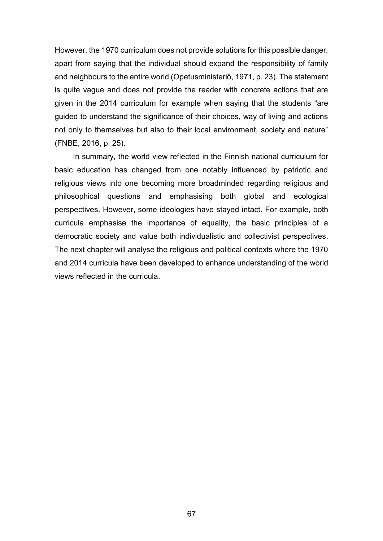However, the 1970 curriculum does not provide solutions for this possible danger, apart from saying that the individual should expand the responsibility of family and neighbours to the entire world (Opetusministeriö, 1971, p. 23). The statement is quite vague and does not provide the reader with concrete actions that are given in the 2014 curriculum for example when saying that the students "are guided to understand the significance of their choices, way of living and actions not only to themselves but also to their local environment, society and nature" (FNBE, 2016, p. 25).

In summary, the world view reflected in the Finnish national curriculum for basic education has changed from one notably influenced by patriotic and religious views into one becoming more broadminded regarding religious and philosophical questions and emphasising both global and ecological perspectives. However, some ideologies have stayed intact. For example, both curricula emphasise the importance of equality, the basic principles of a democratic society and value both individualistic and collectivist perspectives. The next chapter will analyse the religious and political contexts where the 1970 and 2014 curricula have been developed to enhance understanding of the world views reflected in the curricula.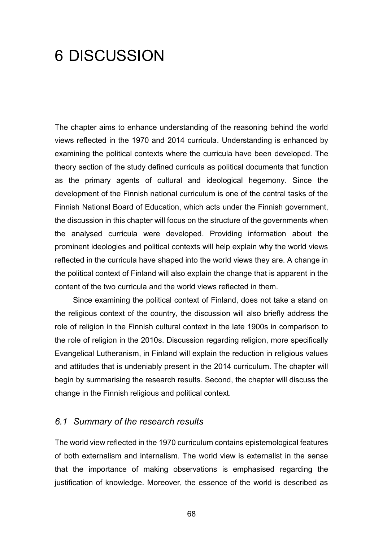## 6 DISCUSSION

The chapter aims to enhance understanding of the reasoning behind the world views reflected in the 1970 and 2014 curricula. Understanding is enhanced by examining the political contexts where the curricula have been developed. The theory section of the study defined curricula as political documents that function as the primary agents of cultural and ideological hegemony. Since the development of the Finnish national curriculum is one of the central tasks of the Finnish National Board of Education, which acts under the Finnish government, the discussion in this chapter will focus on the structure of the governments when the analysed curricula were developed. Providing information about the prominent ideologies and political contexts will help explain why the world views reflected in the curricula have shaped into the world views they are. A change in the political context of Finland will also explain the change that is apparent in the content of the two curricula and the world views reflected in them.

Since examining the political context of Finland, does not take a stand on the religious context of the country, the discussion will also briefly address the role of religion in the Finnish cultural context in the late 1900s in comparison to the role of religion in the 2010s. Discussion regarding religion, more specifically Evangelical Lutheranism, in Finland will explain the reduction in religious values and attitudes that is undeniably present in the 2014 curriculum. The chapter will begin by summarising the research results. Second, the chapter will discuss the change in the Finnish religious and political context.

## *6.1 Summary of the research results*

The world view reflected in the 1970 curriculum contains epistemological features of both externalism and internalism. The world view is externalist in the sense that the importance of making observations is emphasised regarding the justification of knowledge. Moreover, the essence of the world is described as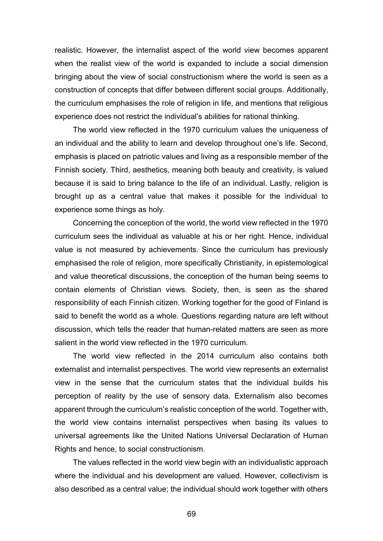realistic. However, the internalist aspect of the world view becomes apparent when the realist view of the world is expanded to include a social dimension bringing about the view of social constructionism where the world is seen as a construction of concepts that differ between different social groups. Additionally, the curriculum emphasises the role of religion in life, and mentions that religious experience does not restrict the individual's abilities for rational thinking.

The world view reflected in the 1970 curriculum values the uniqueness of an individual and the ability to learn and develop throughout one's life. Second, emphasis is placed on patriotic values and living as a responsible member of the Finnish society. Third, aesthetics, meaning both beauty and creativity, is valued because it is said to bring balance to the life of an individual. Lastly, religion is brought up as a central value that makes it possible for the individual to experience some things as holy.

Concerning the conception of the world, the world view reflected in the 1970 curriculum sees the individual as valuable at his or her right. Hence, individual value is not measured by achievements. Since the curriculum has previously emphasised the role of religion, more specifically Christianity, in epistemological and value theoretical discussions, the conception of the human being seems to contain elements of Christian views. Society, then, is seen as the shared responsibility of each Finnish citizen. Working together for the good of Finland is said to benefit the world as a whole. Questions regarding nature are left without discussion, which tells the reader that human-related matters are seen as more salient in the world view reflected in the 1970 curriculum.

The world view reflected in the 2014 curriculum also contains both externalist and internalist perspectives. The world view represents an externalist view in the sense that the curriculum states that the individual builds his perception of reality by the use of sensory data. Externalism also becomes apparent through the curriculum's realistic conception of the world. Together with, the world view contains internalist perspectives when basing its values to universal agreements like the United Nations Universal Declaration of Human Rights and hence, to social constructionism.

The values reflected in the world view begin with an individualistic approach where the individual and his development are valued. However, collectivism is also described as a central value; the individual should work together with others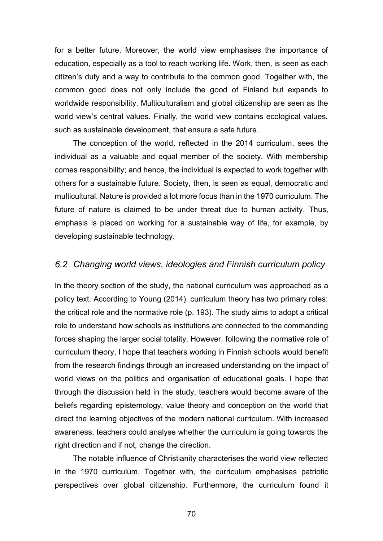for a better future. Moreover, the world view emphasises the importance of education, especially as a tool to reach working life. Work, then, is seen as each citizen's duty and a way to contribute to the common good. Together with, the common good does not only include the good of Finland but expands to worldwide responsibility. Multiculturalism and global citizenship are seen as the world view's central values. Finally, the world view contains ecological values, such as sustainable development, that ensure a safe future.

The conception of the world, reflected in the 2014 curriculum, sees the individual as a valuable and equal member of the society. With membership comes responsibility; and hence, the individual is expected to work together with others for a sustainable future. Society, then, is seen as equal, democratic and multicultural. Nature is provided a lot more focus than in the 1970 curriculum. The future of nature is claimed to be under threat due to human activity. Thus, emphasis is placed on working for a sustainable way of life, for example, by developing sustainable technology.

## *6.2 Changing world views, ideologies and Finnish curriculum policy*

In the theory section of the study, the national curriculum was approached as a policy text. According to Young (2014), curriculum theory has two primary roles: the critical role and the normative role (p. 193). The study aims to adopt a critical role to understand how schools as institutions are connected to the commanding forces shaping the larger social totality. However, following the normative role of curriculum theory, I hope that teachers working in Finnish schools would benefit from the research findings through an increased understanding on the impact of world views on the politics and organisation of educational goals. I hope that through the discussion held in the study, teachers would become aware of the beliefs regarding epistemology, value theory and conception on the world that direct the learning objectives of the modern national curriculum. With increased awareness, teachers could analyse whether the curriculum is going towards the right direction and if not, change the direction.

The notable influence of Christianity characterises the world view reflected in the 1970 curriculum. Together with, the curriculum emphasises patriotic perspectives over global citizenship. Furthermore, the curriculum found it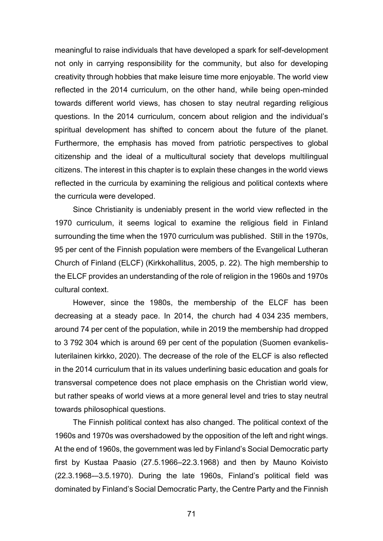meaningful to raise individuals that have developed a spark for self-development not only in carrying responsibility for the community, but also for developing creativity through hobbies that make leisure time more enjoyable. The world view reflected in the 2014 curriculum, on the other hand, while being open-minded towards different world views, has chosen to stay neutral regarding religious questions. In the 2014 curriculum, concern about religion and the individual's spiritual development has shifted to concern about the future of the planet. Furthermore, the emphasis has moved from patriotic perspectives to global citizenship and the ideal of a multicultural society that develops multilingual citizens. The interest in this chapter is to explain these changes in the world views reflected in the curricula by examining the religious and political contexts where the curricula were developed.

Since Christianity is undeniably present in the world view reflected in the 1970 curriculum, it seems logical to examine the religious field in Finland surrounding the time when the 1970 curriculum was published. Still in the 1970s, 95 per cent of the Finnish population were members of the Evangelical Lutheran Church of Finland (ELCF) (Kirkkohallitus, 2005, p. 22). The high membership to the ELCF provides an understanding of the role of religion in the 1960s and 1970s cultural context.

However, since the 1980s, the membership of the ELCF has been decreasing at a steady pace. In 2014, the church had 4 034 235 members, around 74 per cent of the population, while in 2019 the membership had dropped to 3 792 304 which is around 69 per cent of the population (Suomen evankelisluterilainen kirkko, 2020). The decrease of the role of the ELCF is also reflected in the 2014 curriculum that in its values underlining basic education and goals for transversal competence does not place emphasis on the Christian world view, but rather speaks of world views at a more general level and tries to stay neutral towards philosophical questions.

The Finnish political context has also changed. The political context of the 1960s and 1970s was overshadowed by the opposition of the left and right wings. At the end of 1960s, the government was led by Finland's Social Democratic party first by Kustaa Paasio (27.5.1966–22.3.1968) and then by Mauno Koivisto (22.3.1968-–3.5.1970). During the late 1960s, Finland's political field was dominated by Finland's Social Democratic Party, the Centre Party and the Finnish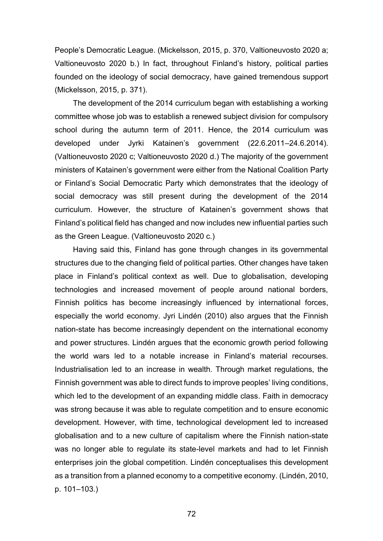People's Democratic League. (Mickelsson, 2015, p. 370, Valtioneuvosto 2020 a; Valtioneuvosto 2020 b.) In fact, throughout Finland's history, political parties founded on the ideology of social democracy, have gained tremendous support (Mickelsson, 2015, p. 371).

The development of the 2014 curriculum began with establishing a working committee whose job was to establish a renewed subject division for compulsory school during the autumn term of 2011. Hence, the 2014 curriculum was developed under Jyrki Katainen's government (22.6.2011–24.6.2014). (Valtioneuvosto 2020 c; Valtioneuvosto 2020 d.) The majority of the government ministers of Katainen's government were either from the National Coalition Party or Finland's Social Democratic Party which demonstrates that the ideology of social democracy was still present during the development of the 2014 curriculum. However, the structure of Katainen's government shows that Finland's political field has changed and now includes new influential parties such as the Green League. (Valtioneuvosto 2020 c.)

Having said this, Finland has gone through changes in its governmental structures due to the changing field of political parties. Other changes have taken place in Finland's political context as well. Due to globalisation, developing technologies and increased movement of people around national borders, Finnish politics has become increasingly influenced by international forces, especially the world economy. Jyri Lindén (2010) also argues that the Finnish nation-state has become increasingly dependent on the international economy and power structures. Lindén argues that the economic growth period following the world wars led to a notable increase in Finland's material recourses. Industrialisation led to an increase in wealth. Through market regulations, the Finnish government was able to direct funds to improve peoples' living conditions, which led to the development of an expanding middle class. Faith in democracy was strong because it was able to regulate competition and to ensure economic development. However, with time, technological development led to increased globalisation and to a new culture of capitalism where the Finnish nation-state was no longer able to regulate its state-level markets and had to let Finnish enterprises join the global competition. Lindén conceptualises this development as a transition from a planned economy to a competitive economy. (Lindén, 2010, p. 101–103.)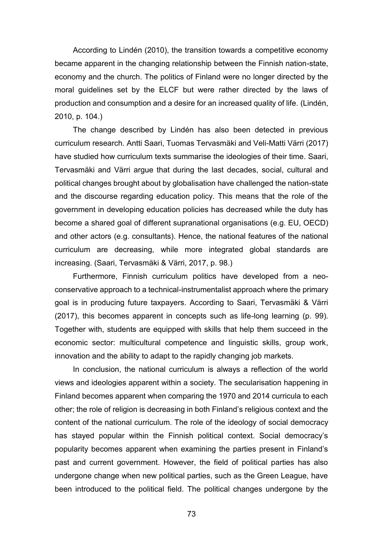According to Lindén (2010), the transition towards a competitive economy became apparent in the changing relationship between the Finnish nation-state, economy and the church. The politics of Finland were no longer directed by the moral guidelines set by the ELCF but were rather directed by the laws of production and consumption and a desire for an increased quality of life. (Lindén, 2010, p. 104.)

The change described by Lindén has also been detected in previous curriculum research. Antti Saari, Tuomas Tervasmäki and Veli-Matti Värri (2017) have studied how curriculum texts summarise the ideologies of their time. Saari, Tervasmäki and Värri argue that during the last decades, social, cultural and political changes brought about by globalisation have challenged the nation-state and the discourse regarding education policy. This means that the role of the government in developing education policies has decreased while the duty has become a shared goal of different supranational organisations (e.g. EU, OECD) and other actors (e.g. consultants). Hence, the national features of the national curriculum are decreasing, while more integrated global standards are increasing. (Saari, Tervasmäki & Värri, 2017, p. 98.)

Furthermore, Finnish curriculum politics have developed from a neoconservative approach to a technical-instrumentalist approach where the primary goal is in producing future taxpayers. According to Saari, Tervasmäki & Värri (2017), this becomes apparent in concepts such as life-long learning (p. 99). Together with, students are equipped with skills that help them succeed in the economic sector: multicultural competence and linguistic skills, group work, innovation and the ability to adapt to the rapidly changing job markets.

In conclusion, the national curriculum is always a reflection of the world views and ideologies apparent within a society. The secularisation happening in Finland becomes apparent when comparing the 1970 and 2014 curricula to each other; the role of religion is decreasing in both Finland's religious context and the content of the national curriculum. The role of the ideology of social democracy has stayed popular within the Finnish political context. Social democracy's popularity becomes apparent when examining the parties present in Finland's past and current government. However, the field of political parties has also undergone change when new political parties, such as the Green League, have been introduced to the political field. The political changes undergone by the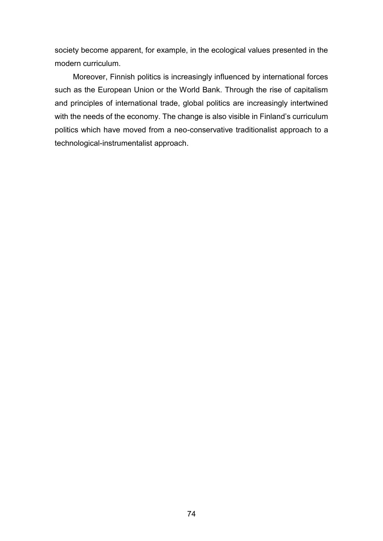society become apparent, for example, in the ecological values presented in the modern curriculum.

Moreover, Finnish politics is increasingly influenced by international forces such as the European Union or the World Bank. Through the rise of capitalism and principles of international trade, global politics are increasingly intertwined with the needs of the economy. The change is also visible in Finland's curriculum politics which have moved from a neo-conservative traditionalist approach to a technological-instrumentalist approach.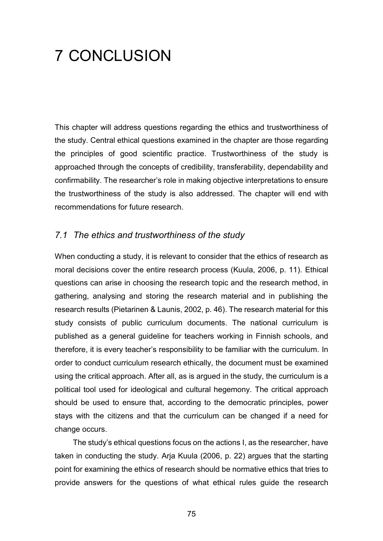# 7 CONCLUSION

This chapter will address questions regarding the ethics and trustworthiness of the study. Central ethical questions examined in the chapter are those regarding the principles of good scientific practice. Trustworthiness of the study is approached through the concepts of credibility, transferability, dependability and confirmability. The researcher's role in making objective interpretations to ensure the trustworthiness of the study is also addressed. The chapter will end with recommendations for future research.

## *7.1 The ethics and trustworthiness of the study*

When conducting a study, it is relevant to consider that the ethics of research as moral decisions cover the entire research process (Kuula, 2006, p. 11). Ethical questions can arise in choosing the research topic and the research method, in gathering, analysing and storing the research material and in publishing the research results (Pietarinen & Launis, 2002, p. 46). The research material for this study consists of public curriculum documents. The national curriculum is published as a general guideline for teachers working in Finnish schools, and therefore, it is every teacher's responsibility to be familiar with the curriculum. In order to conduct curriculum research ethically, the document must be examined using the critical approach. After all, as is argued in the study, the curriculum is a political tool used for ideological and cultural hegemony. The critical approach should be used to ensure that, according to the democratic principles, power stays with the citizens and that the curriculum can be changed if a need for change occurs.

The study's ethical questions focus on the actions I, as the researcher, have taken in conducting the study. Arja Kuula (2006, p. 22) argues that the starting point for examining the ethics of research should be normative ethics that tries to provide answers for the questions of what ethical rules guide the research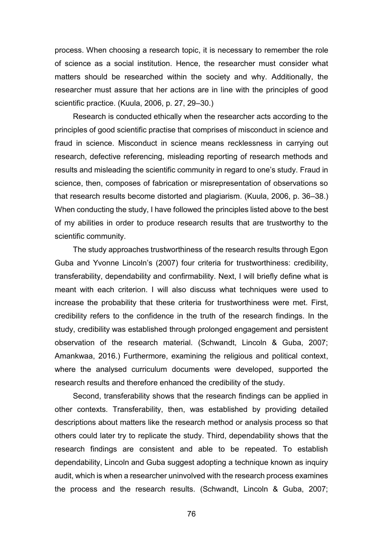process. When choosing a research topic, it is necessary to remember the role of science as a social institution. Hence, the researcher must consider what matters should be researched within the society and why. Additionally, the researcher must assure that her actions are in line with the principles of good scientific practice. (Kuula, 2006, p. 27, 29–30.)

Research is conducted ethically when the researcher acts according to the principles of good scientific practise that comprises of misconduct in science and fraud in science. Misconduct in science means recklessness in carrying out research, defective referencing, misleading reporting of research methods and results and misleading the scientific community in regard to one's study. Fraud in science, then, composes of fabrication or misrepresentation of observations so that research results become distorted and plagiarism. (Kuula, 2006, p. 36–38.) When conducting the study, I have followed the principles listed above to the best of my abilities in order to produce research results that are trustworthy to the scientific community.

The study approaches trustworthiness of the research results through Egon Guba and Yvonne Lincoln's (2007) four criteria for trustworthiness: credibility, transferability, dependability and confirmability. Next, I will briefly define what is meant with each criterion. I will also discuss what techniques were used to increase the probability that these criteria for trustworthiness were met. First, credibility refers to the confidence in the truth of the research findings. In the study, credibility was established through prolonged engagement and persistent observation of the research material. (Schwandt, Lincoln & Guba, 2007; Amankwaa, 2016.) Furthermore, examining the religious and political context, where the analysed curriculum documents were developed, supported the research results and therefore enhanced the credibility of the study.

Second, transferability shows that the research findings can be applied in other contexts. Transferability, then, was established by providing detailed descriptions about matters like the research method or analysis process so that others could later try to replicate the study. Third, dependability shows that the research findings are consistent and able to be repeated. To establish dependability, Lincoln and Guba suggest adopting a technique known as inquiry audit, which is when a researcher uninvolved with the research process examines the process and the research results. (Schwandt, Lincoln & Guba, 2007;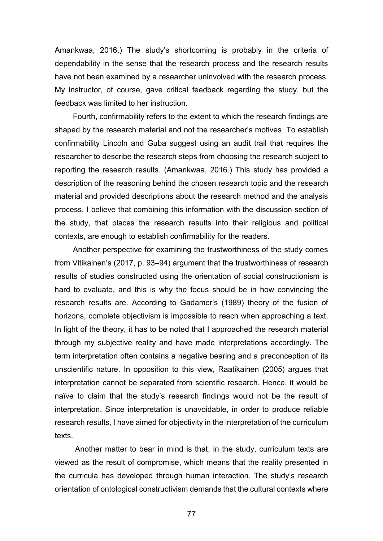Amankwaa, 2016.) The study's shortcoming is probably in the criteria of dependability in the sense that the research process and the research results have not been examined by a researcher uninvolved with the research process. My instructor, of course, gave critical feedback regarding the study, but the feedback was limited to her instruction.

Fourth, confirmability refers to the extent to which the research findings are shaped by the research material and not the researcher's motives. To establish confirmability Lincoln and Guba suggest using an audit trail that requires the researcher to describe the research steps from choosing the research subject to reporting the research results. (Amankwaa, 2016.) This study has provided a description of the reasoning behind the chosen research topic and the research material and provided descriptions about the research method and the analysis process. I believe that combining this information with the discussion section of the study, that places the research results into their religious and political contexts, are enough to establish confirmability for the readers.

Another perspective for examining the trustworthiness of the study comes from Vitikainen's (2017, p. 93–94) argument that the trustworthiness of research results of studies constructed using the orientation of social constructionism is hard to evaluate, and this is why the focus should be in how convincing the research results are. According to Gadamer's (1989) theory of the fusion of horizons, complete objectivism is impossible to reach when approaching a text. In light of the theory, it has to be noted that I approached the research material through my subjective reality and have made interpretations accordingly. The term interpretation often contains a negative bearing and a preconception of its unscientific nature. In opposition to this view, Raatikainen (2005) argues that interpretation cannot be separated from scientific research. Hence, it would be naïve to claim that the study's research findings would not be the result of interpretation. Since interpretation is unavoidable, in order to produce reliable research results, I have aimed for objectivity in the interpretation of the curriculum texts.

Another matter to bear in mind is that, in the study, curriculum texts are viewed as the result of compromise, which means that the reality presented in the curricula has developed through human interaction. The study's research orientation of ontological constructivism demands that the cultural contexts where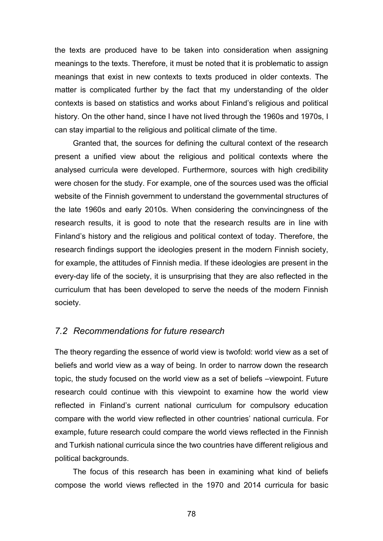the texts are produced have to be taken into consideration when assigning meanings to the texts. Therefore, it must be noted that it is problematic to assign meanings that exist in new contexts to texts produced in older contexts. The matter is complicated further by the fact that my understanding of the older contexts is based on statistics and works about Finland's religious and political history. On the other hand, since I have not lived through the 1960s and 1970s, I can stay impartial to the religious and political climate of the time.

Granted that, the sources for defining the cultural context of the research present a unified view about the religious and political contexts where the analysed curricula were developed. Furthermore, sources with high credibility were chosen for the study. For example, one of the sources used was the official website of the Finnish government to understand the governmental structures of the late 1960s and early 2010s. When considering the convincingness of the research results, it is good to note that the research results are in line with Finland's history and the religious and political context of today. Therefore, the research findings support the ideologies present in the modern Finnish society, for example, the attitudes of Finnish media. If these ideologies are present in the every-day life of the society, it is unsurprising that they are also reflected in the curriculum that has been developed to serve the needs of the modern Finnish society.

#### *7.2 Recommendations for future research*

The theory regarding the essence of world view is twofold: world view as a set of beliefs and world view as a way of being. In order to narrow down the research topic, the study focused on the world view as a set of beliefs –viewpoint. Future research could continue with this viewpoint to examine how the world view reflected in Finland's current national curriculum for compulsory education compare with the world view reflected in other countries' national curricula. For example, future research could compare the world views reflected in the Finnish and Turkish national curricula since the two countries have different religious and political backgrounds.

The focus of this research has been in examining what kind of beliefs compose the world views reflected in the 1970 and 2014 curricula for basic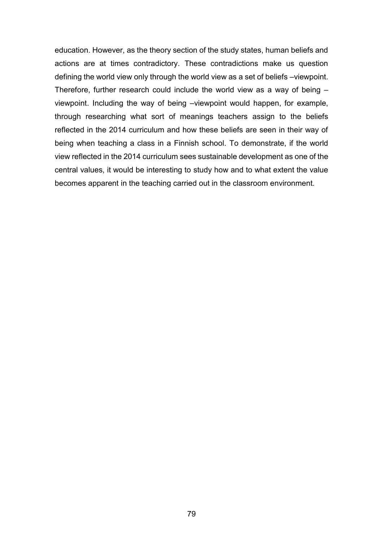education. However, as the theory section of the study states, human beliefs and actions are at times contradictory. These contradictions make us question defining the world view only through the world view as a set of beliefs –viewpoint. Therefore, further research could include the world view as a way of being – viewpoint. Including the way of being –viewpoint would happen, for example, through researching what sort of meanings teachers assign to the beliefs reflected in the 2014 curriculum and how these beliefs are seen in their way of being when teaching a class in a Finnish school. To demonstrate, if the world view reflected in the 2014 curriculum sees sustainable development as one of the central values, it would be interesting to study how and to what extent the value becomes apparent in the teaching carried out in the classroom environment.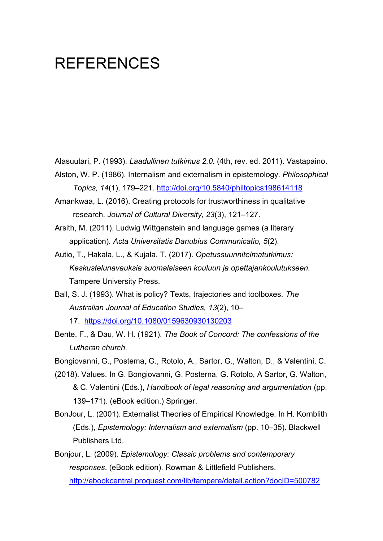# **REFERENCES**

Alasuutari, P. (1993). *Laadullinen tutkimus 2.0.* (4th, rev. ed. 2011). Vastapaino.

- Alston, W. P. (1986). Internalism and externalism in epistemology. *Philosophical Topics, 14*(1), 179–221. <http://doi.org/10.5840/philtopics198614118>
- Amankwaa, L. (2016). Creating protocols for trustworthiness in qualitative research. *Journal of Cultural Diversity, 23*(3), 121–127.
- Arsith, M. (2011). Ludwig Wittgenstein and language games (a literary application). *Acta Universitatis Danubius Communicatio, 5*(2).
- Autio, T., Hakala, L., & Kujala, T. (2017). *Opetussuunnitelmatutkimus: Keskustelunavauksia suomalaiseen kouluun ja opettajankoulutukseen.* Tampere University Press.
- Ball, S. J. (1993). What is policy? Texts, trajectories and toolboxes. *The Australian Journal of Education Studies, 13*(2), 10–
	- 17. <https://doi.org/10.1080/0159630930130203>
- Bente, F., & Dau, W. H. (1921). *The Book of Concord: The confessions of the Lutheran church.*

Bongiovanni, G., Postema, G., Rotolo, A., Sartor, G., Walton, D., & Valentini, C.

- (2018). Values. In G. Bongiovanni, G. Posterna, G. Rotolo, A Sartor, G. Walton, & C. Valentini (Eds.), *Handbook of legal reasoning and argumentation* (pp. 139–171). (eBook edition.) Springer.
- BonJour, L. (2001). Externalist Theories of Empirical Knowledge. In H. Kornblith (Eds.), *Epistemology: Internalism and externalism* (pp. 10–35). Blackwell Publishers Ltd.
- Bonjour, L. (2009). *Epistemology: Classic problems and contemporary responses*. (eBook edition). Rowman & Littlefield Publishers. <http://ebookcentral.proquest.com/lib/tampere/detail.action?docID=500782>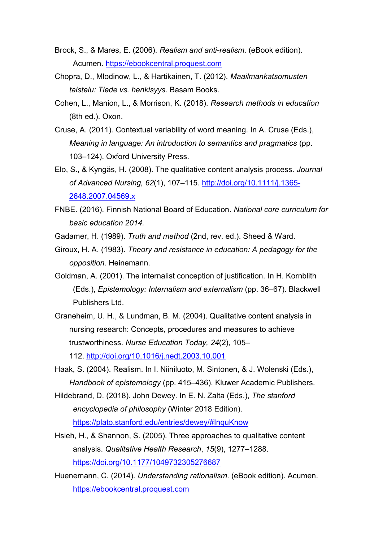- Brock, S., & Mares, E. (2006). *Realism and anti-realism*. (eBook edition). Acumen. [https://ebookcentral.proquest.com](https://ebookcentral.proquest.com/)
- Chopra, D., Mlodinow, L., & Hartikainen, T. (2012). *Maailmankatsomusten taistelu: Tiede vs. henkisyys*. Basam Books.
- Cohen, L., Manion, L., & Morrison, K. (2018). *Research methods in education* (8th ed.). Oxon.
- Cruse, A. (2011). Contextual variability of word meaning. In A. Cruse (Eds.), *Meaning in language: An introduction to semantics and pragmatics* (pp. 103–124). Oxford University Press.
- Elo, S., & Kyngäs, H. (2008). The qualitative content analysis process. *Journal of Advanced Nursing, 62*(1), 107–115. [http://doi.org/10.1111/j.1365-](http://doi.org/10.1111/j.1365-2648.2007.04569.x) [2648.2007.04569.x](http://doi.org/10.1111/j.1365-2648.2007.04569.x)
- FNBE. (2016). Finnish National Board of Education. *National core curriculum for basic education 2014.*
- Gadamer, H. (1989). *Truth and method* (2nd, rev. ed.). Sheed & Ward.
- Giroux, H. A. (1983). *Theory and resistance in education: A pedagogy for the opposition*. Heinemann.
- Goldman, A. (2001). The internalist conception of justification. In H. Kornblith (Eds.), *Epistemology: Internalism and externalism* (pp. 36–67). Blackwell Publishers Ltd.
- Graneheim, U. H., & Lundman, B. M. (2004). Qualitative content analysis in nursing research: Concepts, procedures and measures to achieve trustworthiness. *Nurse Education Today, 24*(2), 105– 112. <http://doi.org/10.1016/j.nedt.2003.10.001>
- Haak, S. (2004). Realism. In I. Niiniluoto, M. Sintonen, & J. Wolenski (Eds.), *Handbook of epistemology* (pp. 415–436). Kluwer Academic Publishers.
- Hildebrand, D. (2018). John Dewey. In E. N. Zalta (Eds.), *The stanford encyclopedia of philosophy* (Winter 2018 Edition). <https://plato.stanford.edu/entries/dewey/#InquKnow>
- Hsieh, H., & Shannon, S. (2005). Three approaches to qualitative content analysis. *Qualitative Health Research*, *15*(9), 1277–1288. <https://doi.org/10.1177/1049732305276687>
- Huenemann, C. (2014). *Understanding rationalism*. (eBook edition). Acumen. [https://ebookcentral.proquest.com](https://ebookcentral.proquest.com/)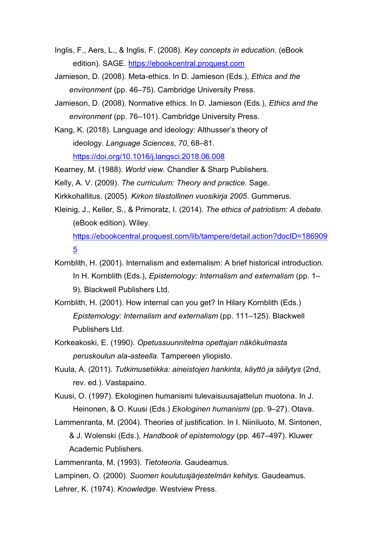- Inglis, F., Aers, L., & Inglis, F. (2008). *Key concepts in education*. (eBook edition). SAGE. [https://ebookcentral.proquest.com](https://ebookcentral.proquest.com/)
- Jamieson, D. (2008). Meta-ethics. In D. Jamieson (Eds.), *Ethics and the environment* (pp. 46–75). Cambridge University Press.
- Jamieson, D. (2008). Normative ethics. In D. Jamieson (Eds.), *Ethics and the environment* (pp. 76–101). Cambridge University Press.
- Kang, K. (2018). Language and ideology: Althusser's theory of ideology. *Language Sciences*, *70*, 68–81. <https://doi.org/10.1016/j.langsci.2018.06.008>

Kearney, M. (1988). *World view.* Chandler & Sharp Publishers.

Kelly, A. V. (2009). *The curriculum: Theory and practice*. Sage.

Kirkkohallitus. (2005). *Kirkon tilastollinen vuosikirja 2005*. Gummerus.

Kleinig, J., Keller, S., & Primoratz, I. (2014). *The ethics of patriotism: A debate.*  (eBook edition). Wiley.

[https://ebookcentral.proquest.com/lib/tampere/detail.action?docID=186909](https://ebookcentral.proquest.com/lib/tampere/detail.action?docID=1869095) [5](https://ebookcentral.proquest.com/lib/tampere/detail.action?docID=1869095)

- Kornblith, H. (2001). Internalism and externalism: A brief historical introduction. In H. Kornblith (Eds.), *Epistemology: Internalism and externalism* (pp. 1– 9). Blackwell Publishers Ltd.
- Kornblith, H. (2001). How internal can you get? In Hilary Kornblith (Eds.) *Epistemology: Internalism and externalism* (pp. 111–125). Blackwell Publishers Ltd.
- Korkeakoski, E. (1990). *Opetussuunnitelma opettajan näkökulmasta peruskoulun ala-asteella*. Tampereen yliopisto.
- Kuula, A. (2011). *Tutkimusetiikka: aineistojen hankinta, käyttö ja säilytys* (2nd, rev. ed.). Vastapaino.
- Kuusi, O. (1997). Ekologinen humanismi tulevaisuusajattelun muotona. In J. Heinonen, & O. Kuusi (Eds.) *Ekologinen humanismi* (pp. 9–27). Otava.
- Lammenranta, M. (2004). Theories of justification. In I. Niiniluoto, M. Sintonen, & J. Wolenski (Eds.), *Handbook of epistemology* (pp. 467–497). Kluwer Academic Publishers.

Lammenranta, M. (1993). *Tietoteoria*. Gaudeamus.

Lampinen, O. (2000). *Suomen koulutusjärjestelmän kehitys.* Gaudeamus.

Lehrer, K. (1974). *Knowledge.* Westview Press.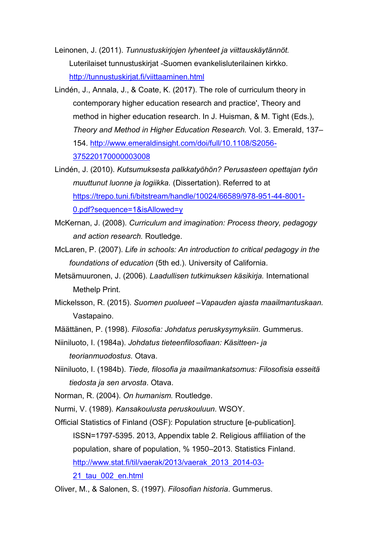Leinonen, J. (2011). *Tunnustuskirjojen lyhenteet ja viittauskäytännöt.* Luterilaiset tunnustuskirjat -Suomen evankelisluterilainen kirkko. <http://tunnustuskirjat.fi/viittaaminen.html>

- Lindén, J., Annala, J., & Coate, K. (2017). The role of curriculum theory in contemporary higher education research and practice', Theory and method in higher education research. In J. Huisman, & M. Tight (Eds.), *Theory and Method in Higher Education Research.* Vol. 3. Emerald, 137– 154. [http://www.emeraldinsight.com/doi/full/10.1108/S2056-](http://www.emeraldinsight.com/doi/full/10.1108/S2056-375220170000003008) [375220170000003008](http://www.emeraldinsight.com/doi/full/10.1108/S2056-375220170000003008)
- Lindén, J. (2010). *Kutsumuksesta palkkatyöhön? Perusasteen opettajan työn muuttunut luonne ja logiikka.* (Dissertation). Referred to at [https://trepo.tuni.fi/bitstream/handle/10024/66589/978-951-44-8001-](https://trepo.tuni.fi/bitstream/handle/10024/66589/978-951-44-8001-0.pdf?sequence=1&isAllowed=y) [0.pdf?sequence=1&isAllowed=y](https://trepo.tuni.fi/bitstream/handle/10024/66589/978-951-44-8001-0.pdf?sequence=1&isAllowed=y)
- McKernan, J. (2008). *Curriculum and imagination: Process theory, pedagogy and action research.* Routledge.
- McLaren, P. (2007). *Life in schools: An introduction to critical pedagogy in the foundations of education* (5th ed.). University of California.
- Metsämuuronen, J. (2006). *Laadullisen tutkimuksen käsikirja.* International Methelp Print.
- Mickelsson, R. (2015). *Suomen puolueet –Vapauden ajasta maailmantuskaan.*  Vastapaino.
- Määttänen, P. (1998). *Filosofia: Johdatus peruskysymyksiin.* Gummerus.
- Niiniluoto, I. (1984a). *Johdatus tieteenfilosofiaan: Käsitteen- ja teorianmuodostus.* Otava.
- Niiniluoto, I. (1984b). *Tiede, filosofia ja maailmankatsomus: Filosofisia esseitä tiedosta ja sen arvosta*. Otava.
- Norman, R. (2004). *On humanism.* Routledge.
- Nurmi, V. (1989). *Kansakoulusta peruskouluun.* WSOY.
- Official Statistics of Finland (OSF): Population structure [e-publication]. ISSN=1797-5395. 2013, Appendix table 2. Religious affiliation of the population, share of population, % 1950–2013. Statistics Finland. [http://www.stat.fi/til/vaerak/2013/vaerak\\_2013\\_2014-03-](http://www.stat.fi/til/vaerak/2013/vaerak_2013_2014-03-21_tau_002_en.html) [21\\_tau\\_002\\_en.html](http://www.stat.fi/til/vaerak/2013/vaerak_2013_2014-03-21_tau_002_en.html)

Oliver, M., & Salonen, S. (1997). *Filosofian historia*. Gummerus.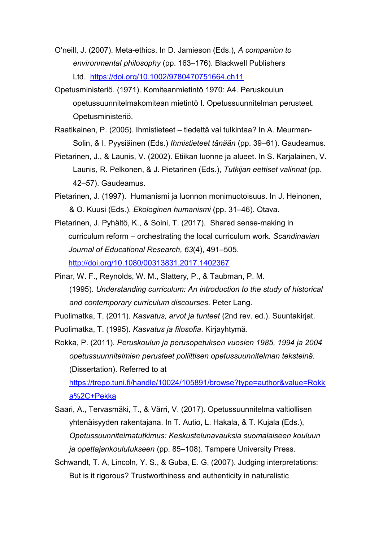- O'neill, J. (2007). Meta-ethics. In D. Jamieson (Eds.), *A companion to environmental philosophy* (pp. 163–176). Blackwell Publishers Ltd. <https://doi.org/10.1002/9780470751664.ch11>
- Opetusministeriö. (1971). Komiteanmietintö 1970: A4. Peruskoulun opetussuunnitelmakomitean mietintö I. Opetussuunnitelman perusteet. Opetusministeriö.
- Raatikainen, P. (2005). Ihmistieteet tiedettä vai tulkintaa? In A. Meurman-Solin, & I. Pyysiäinen (Eds.) *Ihmistieteet tänään* (pp. 39–61). Gaudeamus.
- Pietarinen, J., & Launis, V. (2002). Etiikan luonne ja alueet. In S. Karjalainen, V. Launis, R. Pelkonen, & J. Pietarinen (Eds.), *Tutkijan eettiset valinnat* (pp. 42–57). Gaudeamus.
- Pietarinen, J. (1997). Humanismi ja luonnon monimuotoisuus. In J. Heinonen, & O. Kuusi (Eds.), *Ekologinen humanismi* (pp. 31–46). Otava.
- Pietarinen, J. Pyhältö, K., & Soini, T. (2017). Shared sense-making in curriculum reform – orchestrating the local curriculum work. *Scandinavian Journal of Educational Research, 63*(4), 491–505. <http://doi.org/10.1080/00313831.2017.1402367>
- Pinar, W. F., Reynolds, W. M., Slattery, P., & Taubman, P. M. (1995). *Understanding curriculum: An introduction to the study of historical and contemporary curriculum discourses.* Peter Lang.

Puolimatka, T. (2011). *Kasvatus, arvot ja tunteet* (2nd rev. ed.). Suuntakirjat.

Puolimatka, T. (1995). *Kasvatus ja filosofia*. Kirjayhtymä.

Rokka, P. (2011). *Peruskoulun ja perusopetuksen vuosien 1985, 1994 ja 2004 opetussuunnitelmien perusteet poliittisen opetussuunnitelman teksteinä.* (Dissertation). Referred to at

[https://trepo.tuni.fi/handle/10024/105891/browse?type=author&value=Rokk](https://trepo.tuni.fi/handle/10024/105891/browse?type=author&value=Rokka%2C+Pekka) [a%2C+Pekka](https://trepo.tuni.fi/handle/10024/105891/browse?type=author&value=Rokka%2C+Pekka)

- Saari, A., Tervasmäki, T., & Värri, V. (2017). Opetussuunnitelma valtiollisen yhtenäisyyden rakentajana. In T. Autio, L. Hakala, & T. Kujala (Eds.), *Opetussuunnitelmatutkimus: Keskustelunavauksia suomalaiseen kouluun ja opettajankoulutukseen* (pp. 85–108). Tampere University Press.
- Schwandt, T. A, Lincoln, Y. S., & Guba, E. G. (2007). Judging interpretations: But is it rigorous? Trustworthiness and authenticity in naturalistic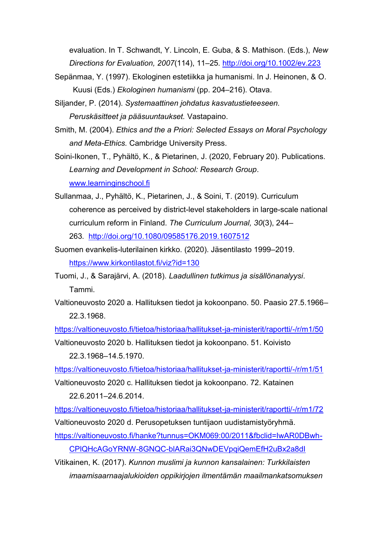evaluation. In T. Schwandt, Y. Lincoln, E. Guba, & S. Mathison. (Eds.), *New Directions for Evaluation, 2007*(114), 11–25*.* <http://doi.org/10.1002/ev.223>

- Sepänmaa, Y. (1997). Ekologinen estetiikka ja humanismi. In J. Heinonen, & O. Kuusi (Eds.) *Ekologinen humanismi* (pp. 204–216). Otava.
- Siljander, P. (2014). *Systemaattinen johdatus kasvatustieteeseen. Peruskäsitteet ja pääsuuntaukset.* Vastapaino.
- Smith, M. (2004). *Ethics and the a Priori: Selected Essays on Moral Psychology and Meta-Ethics.* Cambridge University Press.
- Soini-Ikonen, T., Pyhältö, K., & Pietarinen, J. (2020, February 20). Publications. *Learning and Development in School: Research Group*. [www.learninginschool.fi](http://www.learninginschool.fi/)
- Sullanmaa, J., Pyhältö, K., Pietarinen, J., & Soini, T. (2019). Curriculum coherence as perceived by district-level stakeholders in large-scale national curriculum reform in Finland. *The Curriculum Journal, 30*(3), 244– 263*.* <http://doi.org/10.1080/09585176.2019.1607512>
- Suomen evankelis-luterilainen kirkko. (2020). Jäsentilasto 1999–2019. <https://www.kirkontilastot.fi/viz?id=130>
- Tuomi, J., & Sarajärvi, A. (2018). *Laadullinen tutkimus ja sisällönanalyysi*. Tammi.
- Valtioneuvosto 2020 a. Hallituksen tiedot ja kokoonpano. 50. Paasio 27.5.1966– 22.3.1968.

<https://valtioneuvosto.fi/tietoa/historiaa/hallitukset-ja-ministerit/raportti/-/r/m1/50>

Valtioneuvosto 2020 b. Hallituksen tiedot ja kokoonpano. 51. Koivisto 22.3.1968–14.5.1970.

<https://valtioneuvosto.fi/tietoa/historiaa/hallitukset-ja-ministerit/raportti/-/r/m1/51>

Valtioneuvosto 2020 c. Hallituksen tiedot ja kokoonpano. 72. Katainen 22.6.2011–24.6.2014.

<https://valtioneuvosto.fi/tietoa/historiaa/hallitukset-ja-ministerit/raportti/-/r/m1/72> Valtioneuvosto 2020 d. Perusopetuksen tuntijaon uudistamistyöryhmä.

[https://valtioneuvosto.fi/hanke?tunnus=OKM069:00/2011&fbclid=IwAR0DBwh-](https://valtioneuvosto.fi/hanke?tunnus=OKM069:00/2011&fbclid=IwAR0DBwh-CPlQHcAGoYRNW-8GNQC-blARai3QNwDEVpqiQemEfH2uBx2a8dI)

[CPlQHcAGoYRNW-8GNQC-blARai3QNwDEVpqiQemEfH2uBx2a8dI](https://valtioneuvosto.fi/hanke?tunnus=OKM069:00/2011&fbclid=IwAR0DBwh-CPlQHcAGoYRNW-8GNQC-blARai3QNwDEVpqiQemEfH2uBx2a8dI)

Vitikainen, K. (2017). *Kunnon muslimi ja kunnon kansalainen: Turkkilaisten imaamisaarnaajalukioiden oppikirjojen ilmentämän maailmankatsomuksen*